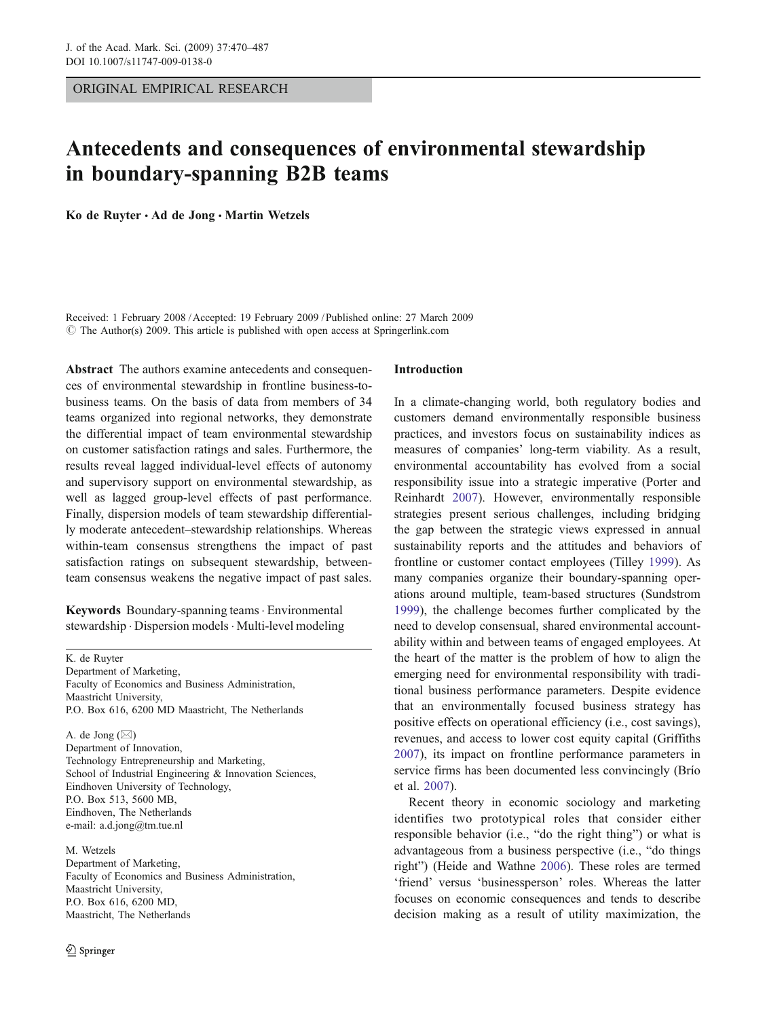ORIGINAL EMPIRICAL RESEARCH

# Antecedents and consequences of environmental stewardship in boundary-spanning B2B teams

Ko de Ruyter · Ad de Jong · Martin Wetzels

Received: 1 February 2008 /Accepted: 19 February 2009 / Published online: 27 March 2009  $\circ$  The Author(s) 2009. This article is published with open access at Springerlink.com

Abstract The authors examine antecedents and consequences of environmental stewardship in frontline business-tobusiness teams. On the basis of data from members of 34 teams organized into regional networks, they demonstrate the differential impact of team environmental stewardship on customer satisfaction ratings and sales. Furthermore, the results reveal lagged individual-level effects of autonomy and supervisory support on environmental stewardship, as well as lagged group-level effects of past performance. Finally, dispersion models of team stewardship differentially moderate antecedent–stewardship relationships. Whereas within-team consensus strengthens the impact of past satisfaction ratings on subsequent stewardship, betweenteam consensus weakens the negative impact of past sales.

Keywords Boundary-spanning teams · Environmental stewardship . Dispersion models . Multi-level modeling

K. de Ruyter Department of Marketing, Faculty of Economics and Business Administration, Maastricht University, P.O. Box 616, 6200 MD Maastricht, The Netherlands

A. de Jong  $(\boxtimes)$ Department of Innovation, Technology Entrepreneurship and Marketing, School of Industrial Engineering & Innovation Sciences, Eindhoven University of Technology, P.O. Box 513, 5600 MB, Eindhoven, The Netherlands e-mail: a.d.jong@tm.tue.nl

M. Wetzels Department of Marketing, Faculty of Economics and Business Administration, Maastricht University, P.O. Box 616, 6200 MD, Maastricht, The Netherlands

#### Introduction

In a climate-changing world, both regulatory bodies and customers demand environmentally responsible business practices, and investors focus on sustainability indices as measures of companies' long-term viability. As a result, environmental accountability has evolved from a social responsibility issue into a strategic imperative (Porter and Reinhardt [2007](#page-17-0)). However, environmentally responsible strategies present serious challenges, including bridging the gap between the strategic views expressed in annual sustainability reports and the attitudes and behaviors of frontline or customer contact employees (Tilley [1999\)](#page-17-0). As many companies organize their boundary-spanning operations around multiple, team-based structures (Sundstrom [1999](#page-17-0)), the challenge becomes further complicated by the need to develop consensual, shared environmental accountability within and between teams of engaged employees. At the heart of the matter is the problem of how to align the emerging need for environmental responsibility with traditional business performance parameters. Despite evidence that an environmentally focused business strategy has positive effects on operational efficiency (i.e., cost savings), revenues, and access to lower cost equity capital (Griffiths [2007](#page-16-0)), its impact on frontline performance parameters in service firms has been documented less convincingly (Brío et al. [2007](#page-16-0)).

Recent theory in economic sociology and marketing identifies two prototypical roles that consider either responsible behavior (i.e., "do the right thing") or what is advantageous from a business perspective (i.e., "do things right") (Heide and Wathne [2006\)](#page-16-0). These roles are termed 'friend' versus 'businessperson' roles. Whereas the latter focuses on economic consequences and tends to describe decision making as a result of utility maximization, the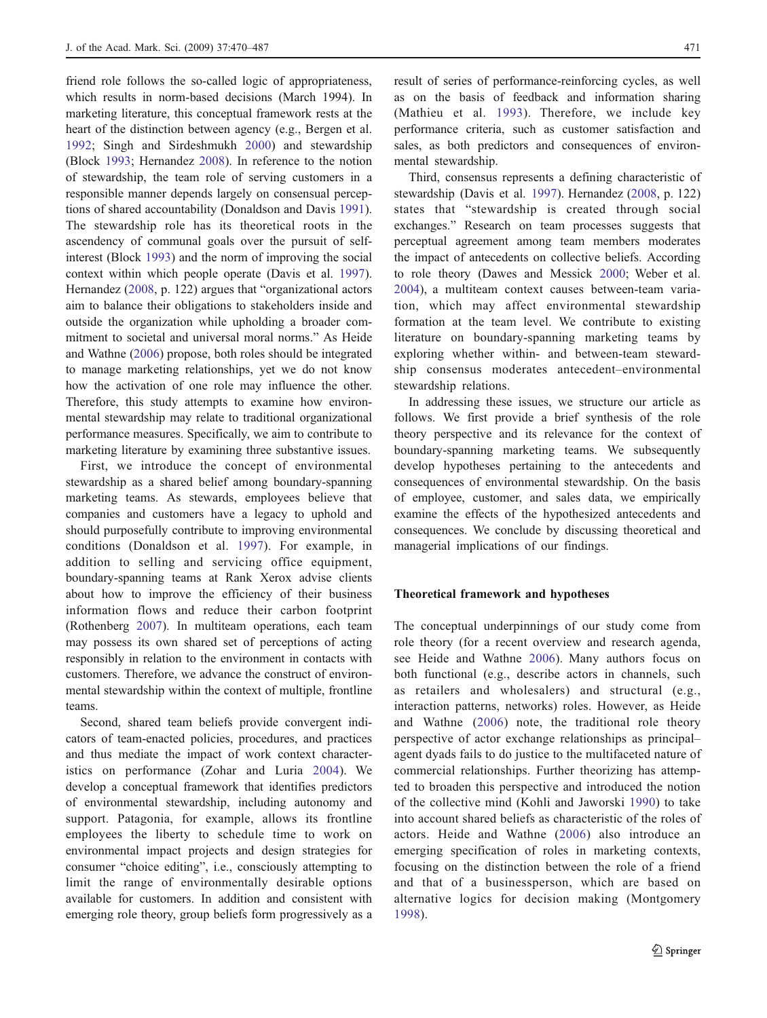friend role follows the so-called logic of appropriateness, which results in norm-based decisions (March 1994). In marketing literature, this conceptual framework rests at the heart of the distinction between agency (e.g., Bergen et al. [1992](#page-16-0); Singh and Sirdeshmukh [2000\)](#page-17-0) and stewardship (Block [1993;](#page-16-0) Hernandez [2008\)](#page-16-0). In reference to the notion of stewardship, the team role of serving customers in a responsible manner depends largely on consensual perceptions of shared accountability (Donaldson and Davis [1991](#page-16-0)). The stewardship role has its theoretical roots in the ascendency of communal goals over the pursuit of selfinterest (Block [1993\)](#page-16-0) and the norm of improving the social context within which people operate (Davis et al. [1997](#page-16-0)). Hernandez ([2008,](#page-16-0) p. 122) argues that "organizational actors aim to balance their obligations to stakeholders inside and outside the organization while upholding a broader commitment to societal and universal moral norms." As Heide and Wathne ([2006\)](#page-16-0) propose, both roles should be integrated to manage marketing relationships, yet we do not know how the activation of one role may influence the other. Therefore, this study attempts to examine how environmental stewardship may relate to traditional organizational performance measures. Specifically, we aim to contribute to marketing literature by examining three substantive issues.

First, we introduce the concept of environmental stewardship as a shared belief among boundary-spanning marketing teams. As stewards, employees believe that companies and customers have a legacy to uphold and should purposefully contribute to improving environmental conditions (Donaldson et al. [1997\)](#page-16-0). For example, in addition to selling and servicing office equipment, boundary-spanning teams at Rank Xerox advise clients about how to improve the efficiency of their business information flows and reduce their carbon footprint (Rothenberg [2007](#page-17-0)). In multiteam operations, each team may possess its own shared set of perceptions of acting responsibly in relation to the environment in contacts with customers. Therefore, we advance the construct of environmental stewardship within the context of multiple, frontline teams.

Second, shared team beliefs provide convergent indicators of team-enacted policies, procedures, and practices and thus mediate the impact of work context characteristics on performance (Zohar and Luria [2004\)](#page-17-0). We develop a conceptual framework that identifies predictors of environmental stewardship, including autonomy and support. Patagonia, for example, allows its frontline employees the liberty to schedule time to work on environmental impact projects and design strategies for consumer "choice editing", i.e., consciously attempting to limit the range of environmentally desirable options available for customers. In addition and consistent with emerging role theory, group beliefs form progressively as a result of series of performance-reinforcing cycles, as well as on the basis of feedback and information sharing (Mathieu et al. [1993\)](#page-17-0). Therefore, we include key performance criteria, such as customer satisfaction and sales, as both predictors and consequences of environmental stewardship.

Third, consensus represents a defining characteristic of stewardship (Davis et al. [1997\)](#page-16-0). Hernandez [\(2008](#page-16-0), p. 122) states that "stewardship is created through social exchanges." Research on team processes suggests that perceptual agreement among team members moderates the impact of antecedents on collective beliefs. According to role theory (Dawes and Messick [2000;](#page-16-0) Weber et al. [2004](#page-17-0)), a multiteam context causes between-team variation, which may affect environmental stewardship formation at the team level. We contribute to existing literature on boundary-spanning marketing teams by exploring whether within- and between-team stewardship consensus moderates antecedent–environmental stewardship relations.

In addressing these issues, we structure our article as follows. We first provide a brief synthesis of the role theory perspective and its relevance for the context of boundary-spanning marketing teams. We subsequently develop hypotheses pertaining to the antecedents and consequences of environmental stewardship. On the basis of employee, customer, and sales data, we empirically examine the effects of the hypothesized antecedents and consequences. We conclude by discussing theoretical and managerial implications of our findings.

#### Theoretical framework and hypotheses

The conceptual underpinnings of our study come from role theory (for a recent overview and research agenda, see Heide and Wathne [2006](#page-16-0)). Many authors focus on both functional (e.g., describe actors in channels, such as retailers and wholesalers) and structural (e.g., interaction patterns, networks) roles. However, as Heide and Wathne ([2006](#page-16-0)) note, the traditional role theory perspective of actor exchange relationships as principal– agent dyads fails to do justice to the multifaceted nature of commercial relationships. Further theorizing has attempted to broaden this perspective and introduced the notion of the collective mind (Kohli and Jaworski [1990](#page-16-0)) to take into account shared beliefs as characteristic of the roles of actors. Heide and Wathne [\(2006](#page-16-0)) also introduce an emerging specification of roles in marketing contexts, focusing on the distinction between the role of a friend and that of a businessperson, which are based on alternative logics for decision making (Montgomery [1998](#page-17-0)).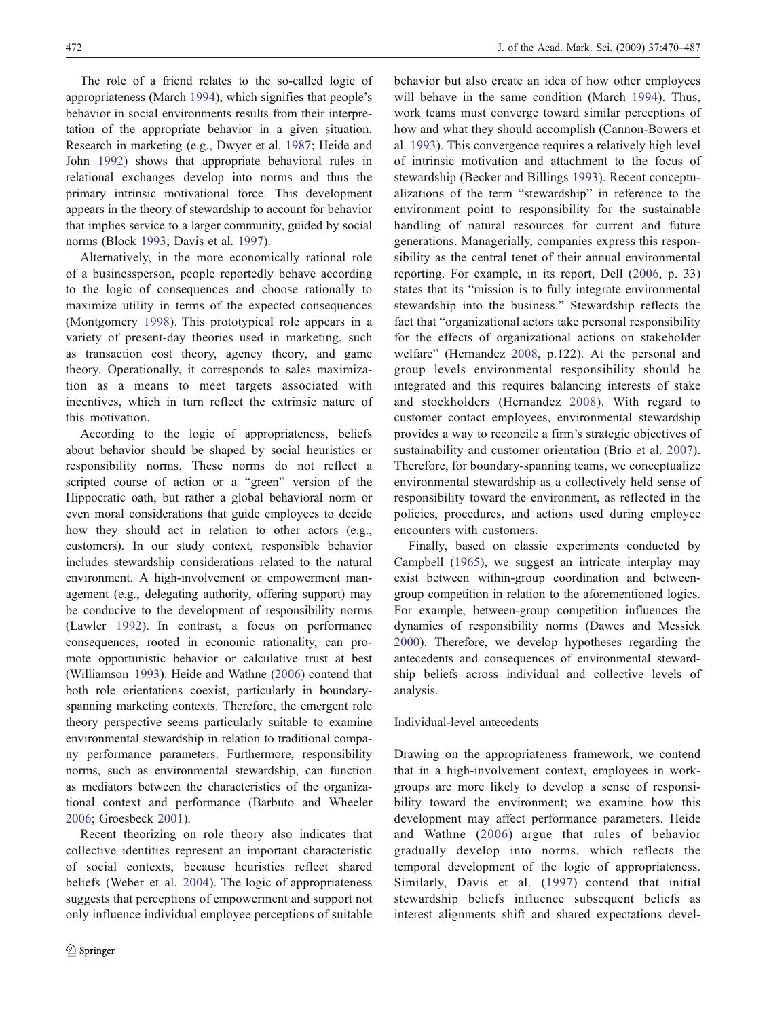The role of a friend relates to the so-called logic of appropriateness (March [1994](#page-17-0)), which signifies that people's behavior in social environments results from their interpretation of the appropriate behavior in a given situation. Research in marketing (e.g., Dwyer et al. [1987;](#page-16-0) Heide and John [1992\)](#page-16-0) shows that appropriate behavioral rules in relational exchanges develop into norms and thus the primary intrinsic motivational force. This development appears in the theory of stewardship to account for behavior that implies service to a larger community, guided by social norms (Block [1993](#page-16-0); Davis et al. [1997\)](#page-16-0).

Alternatively, in the more economically rational role of a businessperson, people reportedly behave according to the logic of consequences and choose rationally to maximize utility in terms of the expected consequences (Montgomery [1998\)](#page-17-0). This prototypical role appears in a variety of present-day theories used in marketing, such as transaction cost theory, agency theory, and game theory. Operationally, it corresponds to sales maximization as a means to meet targets associated with incentives, which in turn reflect the extrinsic nature of this motivation.

According to the logic of appropriateness, beliefs about behavior should be shaped by social heuristics or responsibility norms. These norms do not reflect a scripted course of action or a "green" version of the Hippocratic oath, but rather a global behavioral norm or even moral considerations that guide employees to decide how they should act in relation to other actors (e.g., customers). In our study context, responsible behavior includes stewardship considerations related to the natural environment. A high-involvement or empowerment management (e.g., delegating authority, offering support) may be conducive to the development of responsibility norms (Lawler [1992](#page-16-0)). In contrast, a focus on performance consequences, rooted in economic rationality, can promote opportunistic behavior or calculative trust at best (Williamson [1993](#page-17-0)). Heide and Wathne ([2006\)](#page-16-0) contend that both role orientations coexist, particularly in boundaryspanning marketing contexts. Therefore, the emergent role theory perspective seems particularly suitable to examine environmental stewardship in relation to traditional company performance parameters. Furthermore, responsibility norms, such as environmental stewardship, can function as mediators between the characteristics of the organizational context and performance (Barbuto and Wheeler [2006;](#page-15-0) Groesbeck [2001\)](#page-16-0).

Recent theorizing on role theory also indicates that collective identities represent an important characteristic of social contexts, because heuristics reflect shared beliefs (Weber et al. [2004\)](#page-17-0). The logic of appropriateness suggests that perceptions of empowerment and support not only influence individual employee perceptions of suitable

behavior but also create an idea of how other employees will behave in the same condition (March [1994](#page-17-0)). Thus, work teams must converge toward similar perceptions of how and what they should accomplish (Cannon-Bowers et al. [1993\)](#page-16-0). This convergence requires a relatively high level of intrinsic motivation and attachment to the focus of stewardship (Becker and Billings [1993\)](#page-16-0). Recent conceptualizations of the term "stewardship" in reference to the environment point to responsibility for the sustainable handling of natural resources for current and future generations. Managerially, companies express this responsibility as the central tenet of their annual environmental reporting. For example, in its report, Dell ([2006,](#page-16-0) p. 33) states that its "mission is to fully integrate environmental stewardship into the business." Stewardship reflects the fact that "organizational actors take personal responsibility for the effects of organizational actions on stakeholder welfare" (Hernandez [2008,](#page-16-0) p.122). At the personal and group levels environmental responsibility should be integrated and this requires balancing interests of stake and stockholders (Hernandez [2008](#page-16-0)). With regard to customer contact employees, environmental stewardship provides a way to reconcile a firm's strategic objectives of sustainability and customer orientation (Brío et al. [2007](#page-16-0)). Therefore, for boundary-spanning teams, we conceptualize environmental stewardship as a collectively held sense of responsibility toward the environment, as reflected in the policies, procedures, and actions used during employee encounters with customers.

Finally, based on classic experiments conducted by Campbell ([1965\)](#page-16-0), we suggest an intricate interplay may exist between within-group coordination and betweengroup competition in relation to the aforementioned logics. For example, between-group competition influences the dynamics of responsibility norms (Dawes and Messick [2000](#page-16-0)). Therefore, we develop hypotheses regarding the antecedents and consequences of environmental stewardship beliefs across individual and collective levels of analysis.

## Individual-level antecedents

Drawing on the appropriateness framework, we contend that in a high-involvement context, employees in workgroups are more likely to develop a sense of responsibility toward the environment; we examine how this development may affect performance parameters. Heide and Wathne ([2006\)](#page-16-0) argue that rules of behavior gradually develop into norms, which reflects the temporal development of the logic of appropriateness. Similarly, Davis et al. ([1997](#page-16-0)) contend that initial stewardship beliefs influence subsequent beliefs as interest alignments shift and shared expectations devel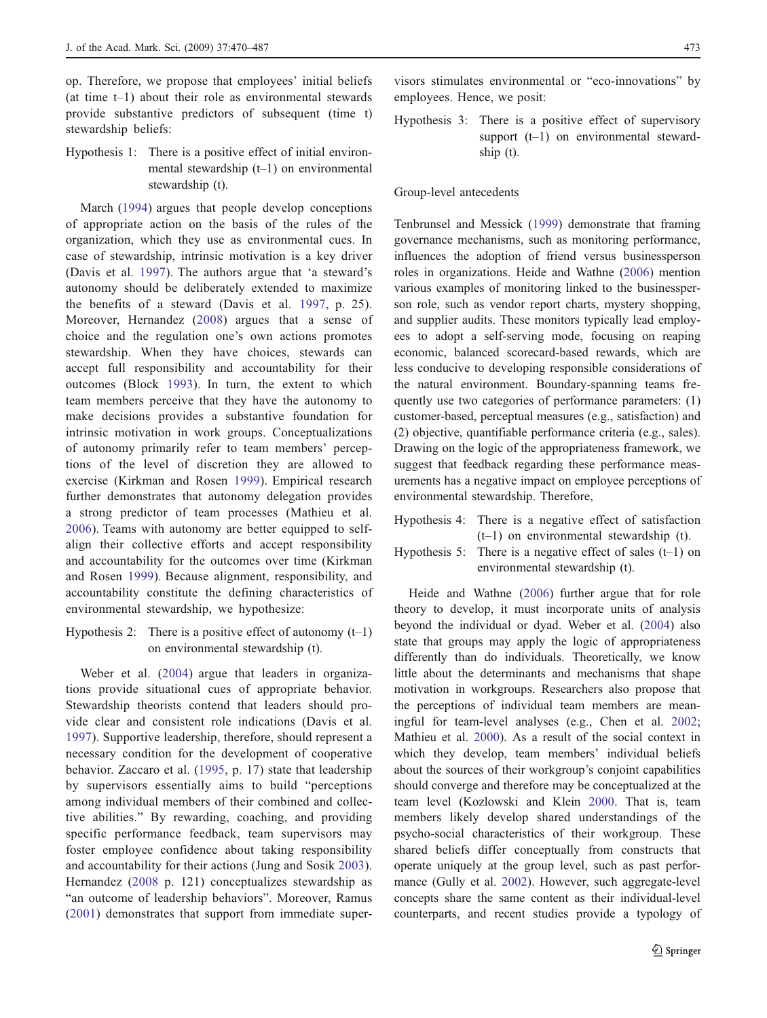op. Therefore, we propose that employees' initial beliefs (at time t–1) about their role as environmental stewards provide substantive predictors of subsequent (time t) stewardship beliefs:

Hypothesis 1: There is a positive effect of initial environmental stewardship (t–1) on environmental stewardship (t).

March ([1994\)](#page-17-0) argues that people develop conceptions of appropriate action on the basis of the rules of the organization, which they use as environmental cues. In case of stewardship, intrinsic motivation is a key driver (Davis et al. [1997\)](#page-16-0). The authors argue that 'a steward's autonomy should be deliberately extended to maximize the benefits of a steward (Davis et al. [1997](#page-16-0), p. 25). Moreover, Hernandez ([2008](#page-16-0)) argues that a sense of choice and the regulation one's own actions promotes stewardship. When they have choices, stewards can accept full responsibility and accountability for their outcomes (Block [1993](#page-16-0)). In turn, the extent to which team members perceive that they have the autonomy to make decisions provides a substantive foundation for intrinsic motivation in work groups. Conceptualizations of autonomy primarily refer to team members' perceptions of the level of discretion they are allowed to exercise (Kirkman and Rosen [1999](#page-16-0)). Empirical research further demonstrates that autonomy delegation provides a strong predictor of team processes (Mathieu et al. [2006](#page-17-0)). Teams with autonomy are better equipped to selfalign their collective efforts and accept responsibility and accountability for the outcomes over time (Kirkman and Rosen [1999\)](#page-16-0). Because alignment, responsibility, and accountability constitute the defining characteristics of environmental stewardship, we hypothesize:

Hypothesis 2: There is a positive effect of autonomy  $(t-1)$ on environmental stewardship (t).

Weber et al. [\(2004](#page-17-0)) argue that leaders in organizations provide situational cues of appropriate behavior. Stewardship theorists contend that leaders should provide clear and consistent role indications (Davis et al. [1997](#page-16-0)). Supportive leadership, therefore, should represent a necessary condition for the development of cooperative behavior. Zaccaro et al. [\(1995,](#page-17-0) p. 17) state that leadership by supervisors essentially aims to build "perceptions among individual members of their combined and collective abilities." By rewarding, coaching, and providing specific performance feedback, team supervisors may foster employee confidence about taking responsibility and accountability for their actions (Jung and Sosik [2003](#page-16-0)). Hernandez ([2008](#page-16-0) p. 121) conceptualizes stewardship as "an outcome of leadership behaviors". Moreover, Ramus [\(2001\)](#page-17-0) demonstrates that support from immediate super-

visors stimulates environmental or "eco-innovations" by employees. Hence, we posit:

Hypothesis 3: There is a positive effect of supervisory support (t–1) on environmental stewardship (t).

#### Group-level antecedents

Tenbrunsel and Messick ([1999\)](#page-17-0) demonstrate that framing governance mechanisms, such as monitoring performance, influences the adoption of friend versus businessperson roles in organizations. Heide and Wathne [\(2006](#page-16-0)) mention various examples of monitoring linked to the businessperson role, such as vendor report charts, mystery shopping, and supplier audits. These monitors typically lead employees to adopt a self-serving mode, focusing on reaping economic, balanced scorecard-based rewards, which are less conducive to developing responsible considerations of the natural environment. Boundary-spanning teams frequently use two categories of performance parameters: (1) customer-based, perceptual measures (e.g., satisfaction) and (2) objective, quantifiable performance criteria (e.g., sales). Drawing on the logic of the appropriateness framework, we suggest that feedback regarding these performance measurements has a negative impact on employee perceptions of environmental stewardship. Therefore,

- Hypothesis 4: There is a negative effect of satisfaction (t–1) on environmental stewardship (t).
- Hypothesis 5: There is a negative effect of sales  $(t-1)$  on environmental stewardship (t).

Heide and Wathne ([2006\)](#page-16-0) further argue that for role theory to develop, it must incorporate units of analysis beyond the individual or dyad. Weber et al. [\(2004](#page-17-0)) also state that groups may apply the logic of appropriateness differently than do individuals. Theoretically, we know little about the determinants and mechanisms that shape motivation in workgroups. Researchers also propose that the perceptions of individual team members are meaningful for team-level analyses (e.g., Chen et al. [2002;](#page-16-0) Mathieu et al. [2000](#page-17-0)). As a result of the social context in which they develop, team members' individual beliefs about the sources of their workgroup's conjoint capabilities should converge and therefore may be conceptualized at the team level (Kozlowski and Klein [2000](#page-16-0). That is, team members likely develop shared understandings of the psycho-social characteristics of their workgroup. These shared beliefs differ conceptually from constructs that operate uniquely at the group level, such as past performance (Gully et al. [2002\)](#page-16-0). However, such aggregate-level concepts share the same content as their individual-level counterparts, and recent studies provide a typology of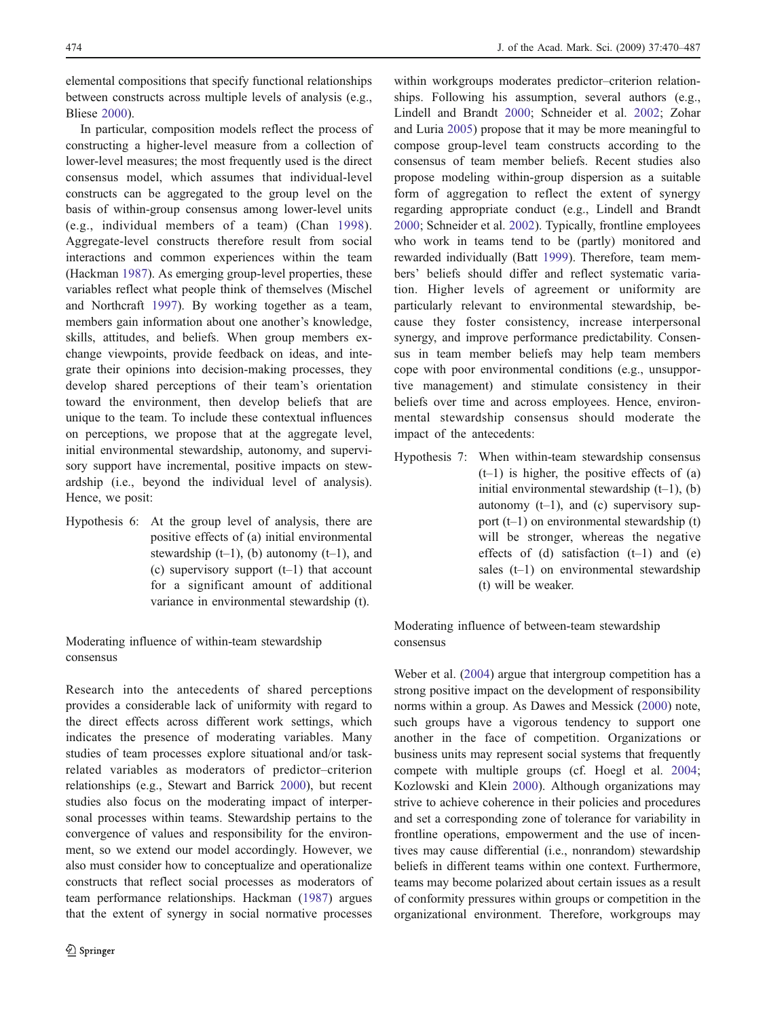elemental compositions that specify functional relationships between constructs across multiple levels of analysis (e.g., Bliese [2000\)](#page-16-0).

In particular, composition models reflect the process of constructing a higher-level measure from a collection of lower-level measures; the most frequently used is the direct consensus model, which assumes that individual-level constructs can be aggregated to the group level on the basis of within-group consensus among lower-level units (e.g., individual members of a team) (Chan [1998](#page-16-0)). Aggregate-level constructs therefore result from social interactions and common experiences within the team (Hackman [1987\)](#page-16-0). As emerging group-level properties, these variables reflect what people think of themselves (Mischel and Northcraft [1997\)](#page-17-0). By working together as a team, members gain information about one another's knowledge, skills, attitudes, and beliefs. When group members exchange viewpoints, provide feedback on ideas, and integrate their opinions into decision-making processes, they develop shared perceptions of their team's orientation toward the environment, then develop beliefs that are unique to the team. To include these contextual influences on perceptions, we propose that at the aggregate level, initial environmental stewardship, autonomy, and supervisory support have incremental, positive impacts on stewardship (i.e., beyond the individual level of analysis). Hence, we posit:

Hypothesis 6: At the group level of analysis, there are positive effects of (a) initial environmental stewardship  $(t-1)$ ,  $(b)$  autonomy  $(t-1)$ , and (c) supervisory support  $(t-1)$  that account for a significant amount of additional variance in environmental stewardship (t).

Moderating influence of within-team stewardship consensus

Research into the antecedents of shared perceptions provides a considerable lack of uniformity with regard to the direct effects across different work settings, which indicates the presence of moderating variables. Many studies of team processes explore situational and/or taskrelated variables as moderators of predictor–criterion relationships (e.g., Stewart and Barrick [2000\)](#page-17-0), but recent studies also focus on the moderating impact of interpersonal processes within teams. Stewardship pertains to the convergence of values and responsibility for the environment, so we extend our model accordingly. However, we also must consider how to conceptualize and operationalize constructs that reflect social processes as moderators of team performance relationships. Hackman [\(1987](#page-16-0)) argues that the extent of synergy in social normative processes

within workgroups moderates predictor–criterion relationships. Following his assumption, several authors (e.g., Lindell and Brandt [2000](#page-16-0); Schneider et al. [2002;](#page-17-0) Zohar and Luria [2005](#page-17-0)) propose that it may be more meaningful to compose group-level team constructs according to the consensus of team member beliefs. Recent studies also propose modeling within-group dispersion as a suitable form of aggregation to reflect the extent of synergy regarding appropriate conduct (e.g., Lindell and Brandt [2000](#page-16-0); Schneider et al. [2002](#page-17-0)). Typically, frontline employees who work in teams tend to be (partly) monitored and rewarded individually (Batt [1999\)](#page-16-0). Therefore, team members' beliefs should differ and reflect systematic variation. Higher levels of agreement or uniformity are particularly relevant to environmental stewardship, because they foster consistency, increase interpersonal synergy, and improve performance predictability. Consensus in team member beliefs may help team members cope with poor environmental conditions (e.g., unsupportive management) and stimulate consistency in their beliefs over time and across employees. Hence, environmental stewardship consensus should moderate the impact of the antecedents:

Hypothesis 7: When within-team stewardship consensus  $(t-1)$  is higher, the positive effects of (a) initial environmental stewardship (t–1), (b) autonomy  $(t-1)$ , and  $(c)$  supervisory support (t–1) on environmental stewardship (t) will be stronger, whereas the negative effects of  $(d)$  satisfaction  $(t-1)$  and  $(e)$ sales (t-1) on environmental stewardship (t) will be weaker.

Moderating influence of between-team stewardship consensus

Weber et al. ([2004\)](#page-17-0) argue that intergroup competition has a strong positive impact on the development of responsibility norms within a group. As Dawes and Messick ([2000\)](#page-16-0) note, such groups have a vigorous tendency to support one another in the face of competition. Organizations or business units may represent social systems that frequently compete with multiple groups (cf. Hoegl et al. [2004;](#page-16-0) Kozlowski and Klein [2000](#page-16-0)). Although organizations may strive to achieve coherence in their policies and procedures and set a corresponding zone of tolerance for variability in frontline operations, empowerment and the use of incentives may cause differential (i.e., nonrandom) stewardship beliefs in different teams within one context. Furthermore, teams may become polarized about certain issues as a result of conformity pressures within groups or competition in the organizational environment. Therefore, workgroups may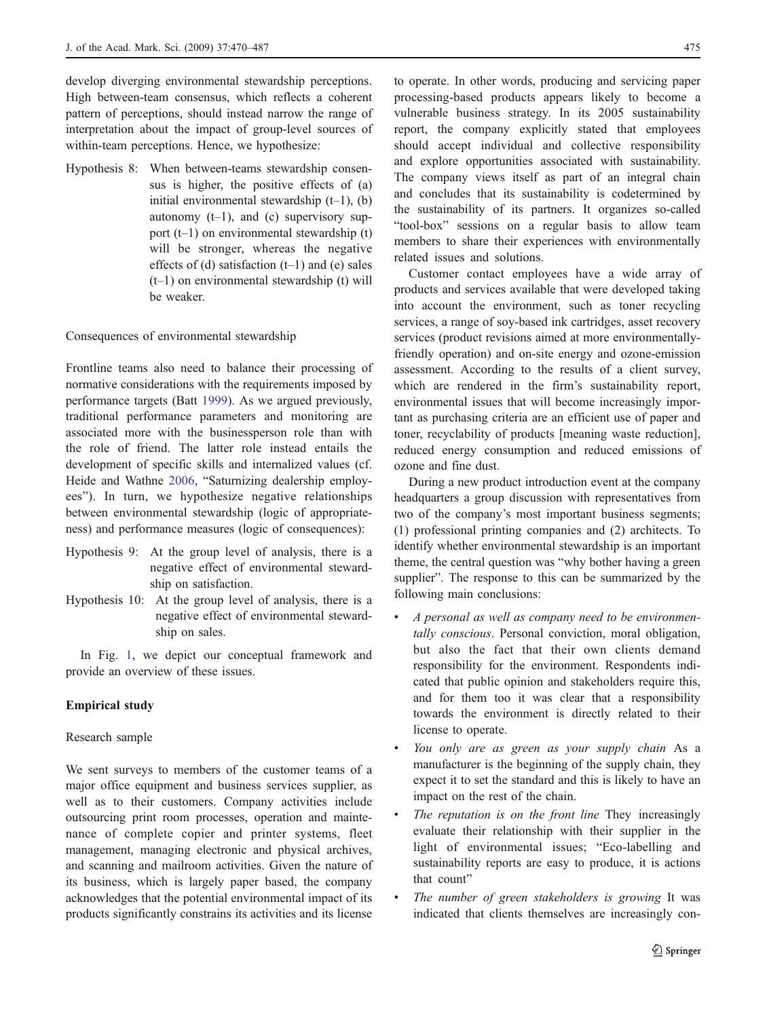develop diverging environmental stewardship perceptions. High between-team consensus, which reflects a coherent pattern of perceptions, should instead narrow the range of interpretation about the impact of group-level sources of within-team perceptions. Hence, we hypothesize:

Hypothesis 8: When between-teams stewardship consensus is higher, the positive effects of (a) initial environmental stewardship  $(t-1)$ ,  $(b)$ autonomy  $(t-1)$ , and  $(c)$  supervisory support (t–1) on environmental stewardship (t) will be stronger, whereas the negative effects of (d) satisfaction  $(t-1)$  and (e) sales (t–1) on environmental stewardship (t) will be weaker.

Consequences of environmental stewardship

Frontline teams also need to balance their processing of normative considerations with the requirements imposed by performance targets (Batt [1999\)](#page-16-0). As we argued previously, traditional performance parameters and monitoring are associated more with the businessperson role than with the role of friend. The latter role instead entails the development of specific skills and internalized values (cf. Heide and Wathne [2006](#page-16-0), "Saturnizing dealership employees"). In turn, we hypothesize negative relationships between environmental stewardship (logic of appropriateness) and performance measures (logic of consequences):

- Hypothesis 9: At the group level of analysis, there is a negative effect of environmental stewardship on satisfaction.
- Hypothesis 10: At the group level of analysis, there is a negative effect of environmental stewardship on sales.

In Fig. [1,](#page-6-0) we depict our conceptual framework and provide an overview of these issues.

# Empirical study

## Research sample

We sent surveys to members of the customer teams of a major office equipment and business services supplier, as well as to their customers. Company activities include outsourcing print room processes, operation and maintenance of complete copier and printer systems, fleet management, managing electronic and physical archives, and scanning and mailroom activities. Given the nature of its business, which is largely paper based, the company acknowledges that the potential environmental impact of its products significantly constrains its activities and its license

to operate. In other words, producing and servicing paper processing-based products appears likely to become a vulnerable business strategy. In its 2005 sustainability report, the company explicitly stated that employees should accept individual and collective responsibility and explore opportunities associated with sustainability. The company views itself as part of an integral chain and concludes that its sustainability is codetermined by the sustainability of its partners. It organizes so-called "tool-box" sessions on a regular basis to allow team members to share their experiences with environmentally related issues and solutions.

Customer contact employees have a wide array of products and services available that were developed taking into account the environment, such as toner recycling services, a range of soy-based ink cartridges, asset recovery services (product revisions aimed at more environmentallyfriendly operation) and on-site energy and ozone-emission assessment. According to the results of a client survey, which are rendered in the firm's sustainability report, environmental issues that will become increasingly important as purchasing criteria are an efficient use of paper and toner, recyclability of products [meaning waste reduction], reduced energy consumption and reduced emissions of ozone and fine dust.

During a new product introduction event at the company headquarters a group discussion with representatives from two of the company's most important business segments; (1) professional printing companies and (2) architects. To identify whether environmental stewardship is an important theme, the central question was "why bother having a green supplier". The response to this can be summarized by the following main conclusions:

- & A personal as well as company need to be environmentally conscious. Personal conviction, moral obligation, but also the fact that their own clients demand responsibility for the environment. Respondents indicated that public opinion and stakeholders require this, and for them too it was clear that a responsibility towards the environment is directly related to their license to operate.
- You only are as green as your supply chain As a manufacturer is the beginning of the supply chain, they expect it to set the standard and this is likely to have an impact on the rest of the chain.
- The reputation is on the front line They increasingly evaluate their relationship with their supplier in the light of environmental issues; "Eco-labelling and sustainability reports are easy to produce, it is actions that count"
- The number of green stakeholders is growing It was indicated that clients themselves are increasingly con-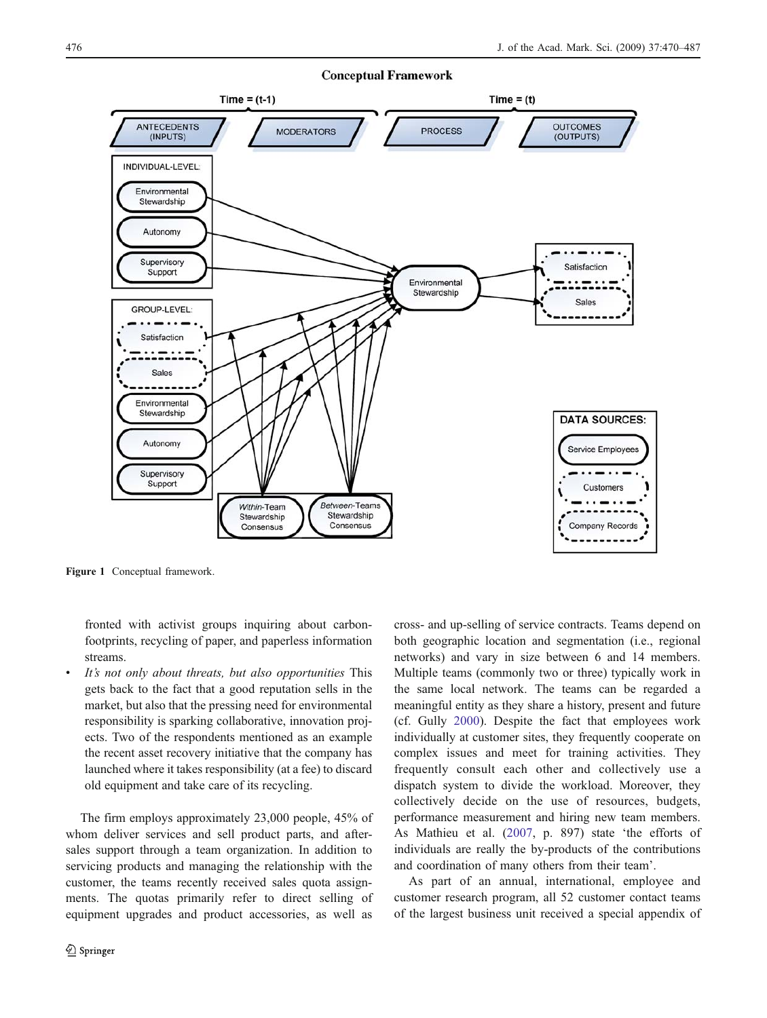<span id="page-6-0"></span>

Figure 1 Conceptual framework.

fronted with activist groups inquiring about carbonfootprints, recycling of paper, and paperless information streams.

It's not only about threats, but also opportunities This gets back to the fact that a good reputation sells in the market, but also that the pressing need for environmental responsibility is sparking collaborative, innovation projects. Two of the respondents mentioned as an example the recent asset recovery initiative that the company has launched where it takes responsibility (at a fee) to discard old equipment and take care of its recycling.

The firm employs approximately 23,000 people, 45% of whom deliver services and sell product parts, and aftersales support through a team organization. In addition to servicing products and managing the relationship with the customer, the teams recently received sales quota assignments. The quotas primarily refer to direct selling of equipment upgrades and product accessories, as well as

cross- and up-selling of service contracts. Teams depend on both geographic location and segmentation (i.e., regional networks) and vary in size between 6 and 14 members. Multiple teams (commonly two or three) typically work in the same local network. The teams can be regarded a meaningful entity as they share a history, present and future (cf. Gully [2000\)](#page-16-0). Despite the fact that employees work individually at customer sites, they frequently cooperate on complex issues and meet for training activities. They frequently consult each other and collectively use a dispatch system to divide the workload. Moreover, they collectively decide on the use of resources, budgets, performance measurement and hiring new team members. As Mathieu et al. ([2007,](#page-17-0) p. 897) state 'the efforts of individuals are really the by-products of the contributions and coordination of many others from their team'.

As part of an annual, international, employee and customer research program, all 52 customer contact teams of the largest business unit received a special appendix of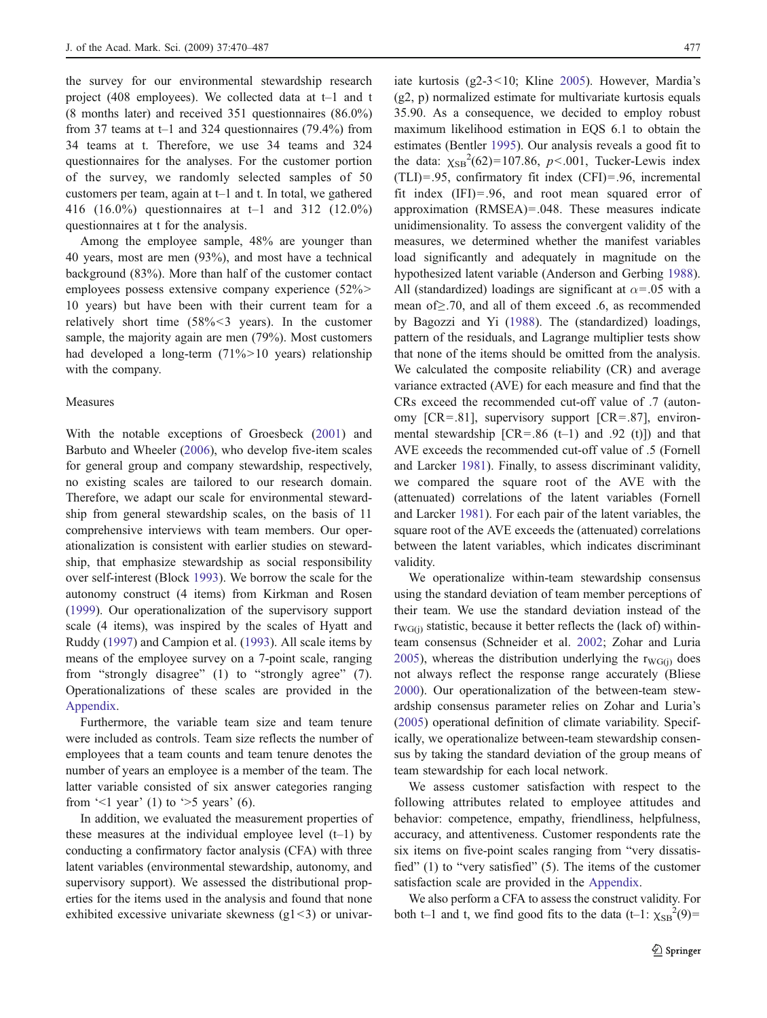the survey for our environmental stewardship research project (408 employees). We collected data at t–1 and t (8 months later) and received 351 questionnaires (86.0%) from 37 teams at t–1 and 324 questionnaires (79.4%) from 34 teams at t. Therefore, we use 34 teams and 324 questionnaires for the analyses. For the customer portion of the survey, we randomly selected samples of 50 customers per team, again at t–1 and t. In total, we gathered 416 (16.0%) questionnaires at t–1 and 312 (12.0%) questionnaires at t for the analysis.

Among the employee sample, 48% are younger than 40 years, most are men (93%), and most have a technical background (83%). More than half of the customer contact employees possess extensive company experience (52%> 10 years) but have been with their current team for a relatively short time (58%<3 years). In the customer sample, the majority again are men (79%). Most customers had developed a long-term (71%>10 years) relationship with the company.

### Measures

With the notable exceptions of Groesbeck [\(2001](#page-16-0)) and Barbuto and Wheeler [\(2006](#page-15-0)), who develop five-item scales for general group and company stewardship, respectively, no existing scales are tailored to our research domain. Therefore, we adapt our scale for environmental stewardship from general stewardship scales, on the basis of 11 comprehensive interviews with team members. Our operationalization is consistent with earlier studies on stewardship, that emphasize stewardship as social responsibility over self-interest (Block [1993](#page-16-0)). We borrow the scale for the autonomy construct (4 items) from Kirkman and Rosen [\(1999](#page-16-0)). Our operationalization of the supervisory support scale (4 items), was inspired by the scales of Hyatt and Ruddy [\(1997](#page-16-0)) and Campion et al. ([1993\)](#page-16-0). All scale items by means of the employee survey on a 7-point scale, ranging from "strongly disagree" (1) to "strongly agree" (7). Operationalizations of these scales are provided in the [Appendix](#page-15-0).

Furthermore, the variable team size and team tenure were included as controls. Team size reflects the number of employees that a team counts and team tenure denotes the number of years an employee is a member of the team. The latter variable consisted of six answer categories ranging from  $\leq 1$  year' (1) to  $\geq 5$  years' (6).

In addition, we evaluated the measurement properties of these measures at the individual employee level  $(t-1)$  by conducting a confirmatory factor analysis (CFA) with three latent variables (environmental stewardship, autonomy, and supervisory support). We assessed the distributional properties for the items used in the analysis and found that none exhibited excessive univariate skewness  $(g1\leq 3)$  or univariate kurtosis (g2-3<10; Kline [2005\)](#page-16-0). However, Mardia's (g2, p) normalized estimate for multivariate kurtosis equals 35.90. As a consequence, we decided to employ robust maximum likelihood estimation in EQS 6.1 to obtain the estimates (Bentler [1995](#page-16-0)). Our analysis reveals a good fit to the data:  $\chi_{SB}^{2}(62)=107.86, p<.001$ , Tucker-Lewis index (TLI)=.95, confirmatory fit index (CFI)=.96, incremental fit index (IFI)=.96, and root mean squared error of approximation (RMSEA)=.048. These measures indicate unidimensionality. To assess the convergent validity of the measures, we determined whether the manifest variables load significantly and adequately in magnitude on the hypothesized latent variable (Anderson and Gerbing [1988\)](#page-15-0). All (standardized) loadings are significant at  $\alpha$ =.05 with a mean of≥.70, and all of them exceed .6, as recommended by Bagozzi and Yi ([1988\)](#page-15-0). The (standardized) loadings, pattern of the residuals, and Lagrange multiplier tests show that none of the items should be omitted from the analysis. We calculated the composite reliability (CR) and average variance extracted (AVE) for each measure and find that the CRs exceed the recommended cut-off value of .7 (autonomy [CR=.81], supervisory support [CR=.87], environmental stewardship  $[CR=.86$  (t-1) and .92 (t)]) and that AVE exceeds the recommended cut-off value of .5 (Fornell and Larcker [1981](#page-16-0)). Finally, to assess discriminant validity, we compared the square root of the AVE with the (attenuated) correlations of the latent variables (Fornell and Larcker [1981\)](#page-16-0). For each pair of the latent variables, the square root of the AVE exceeds the (attenuated) correlations between the latent variables, which indicates discriminant validity.

We operationalize within-team stewardship consensus using the standard deviation of team member perceptions of their team. We use the standard deviation instead of the  $r_{\text{WG(i)}}$  statistic, because it better reflects the (lack of) withinteam consensus (Schneider et al. [2002](#page-17-0); Zohar and Luria [2005](#page-17-0)), whereas the distribution underlying the  $r_{\text{WG}(i)}$  does not always reflect the response range accurately (Bliese [2000](#page-16-0)). Our operationalization of the between-team stewardship consensus parameter relies on Zohar and Luria's [\(2005](#page-17-0)) operational definition of climate variability. Specifically, we operationalize between-team stewardship consensus by taking the standard deviation of the group means of team stewardship for each local network.

We assess customer satisfaction with respect to the following attributes related to employee attitudes and behavior: competence, empathy, friendliness, helpfulness, accuracy, and attentiveness. Customer respondents rate the six items on five-point scales ranging from "very dissatisfied" (1) to "very satisfied" (5). The items of the customer satisfaction scale are provided in the [Appendix.](#page-15-0)

We also perform a CFA to assess the construct validity. For both t–1 and t, we find good fits to the data  $(t-1: \chi_{SB}^2(9))$ =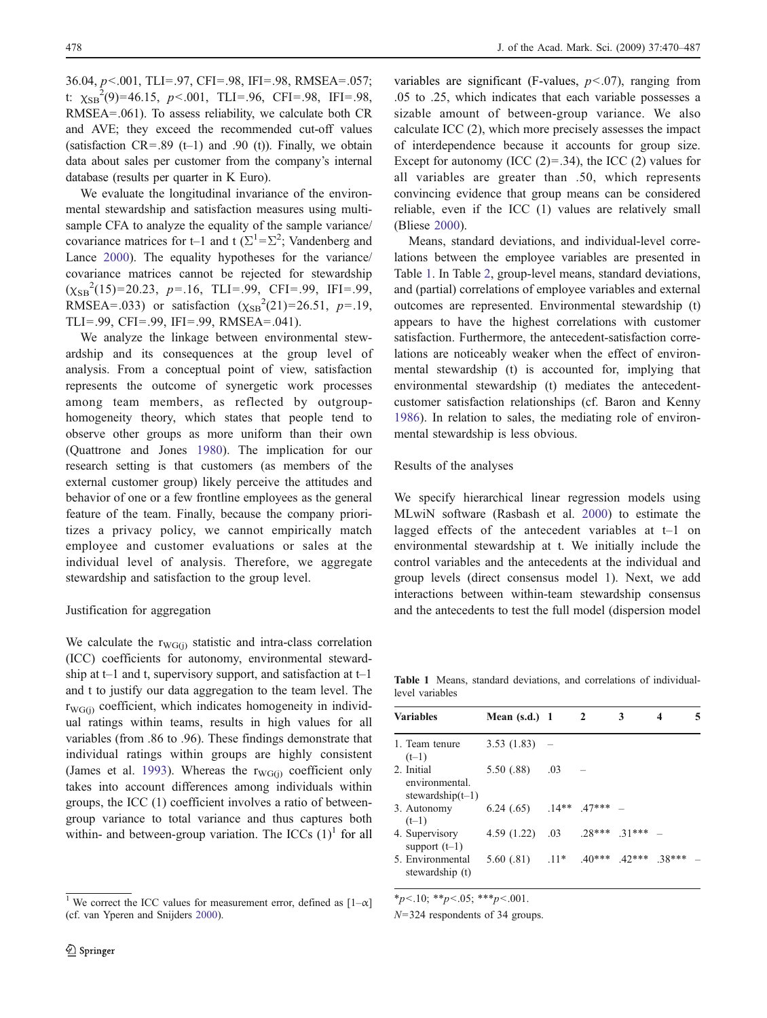36.04, p<.001, TLI=.97, CFI=.98, IFI=.98, RMSEA=.057; t:  $\chi_{SB}^2(9)=46.15, p<.001, TLI=.96, CFI=.98, IFI=.98,$ RMSEA=.061). To assess reliability, we calculate both CR and AVE; they exceed the recommended cut-off values (satisfaction  $CR = .89$  (t-1) and .90 (t)). Finally, we obtain data about sales per customer from the company's internal database (results per quarter in K Euro).

We evaluate the longitudinal invariance of the environmental stewardship and satisfaction measures using multisample CFA to analyze the equality of the sample variance/ covariance matrices for t–1 and t ( $\Sigma^1 = \Sigma^2$ ; Vandenberg and Lance [2000](#page-17-0)). The equality hypotheses for the variance/ covariance matrices cannot be rejected for stewardship  $(\chi_{SB}^2(15)=20.23, p=.16, TLI=.99, CFI=.99, IFI=.99,$ RMSEA=.033) or satisfaction  $(\chi_{SB}^2(21)=26.51, p=.19,$ TLI=.99, CFI=.99, IFI=.99, RMSEA=.041).

We analyze the linkage between environmental stewardship and its consequences at the group level of analysis. From a conceptual point of view, satisfaction represents the outcome of synergetic work processes among team members, as reflected by outgrouphomogeneity theory, which states that people tend to observe other groups as more uniform than their own (Quattrone and Jones [1980\)](#page-17-0). The implication for our research setting is that customers (as members of the external customer group) likely perceive the attitudes and behavior of one or a few frontline employees as the general feature of the team. Finally, because the company prioritizes a privacy policy, we cannot empirically match employee and customer evaluations or sales at the individual level of analysis. Therefore, we aggregate stewardship and satisfaction to the group level.

## Justification for aggregation

We calculate the  $r_{\text{WG}(i)}$  statistic and intra-class correlation (ICC) coefficients for autonomy, environmental stewardship at t–1 and t, supervisory support, and satisfaction at  $t-1$ and t to justify our data aggregation to the team level. The  $r_{\text{WG}(i)}$  coefficient, which indicates homogeneity in individual ratings within teams, results in high values for all variables (from .86 to .96). These findings demonstrate that individual ratings within groups are highly consistent (James et al. [1993\)](#page-16-0). Whereas the  $r_{\text{WG}(j)}$  coefficient only takes into account differences among individuals within groups, the ICC (1) coefficient involves a ratio of betweengroup variance to total variance and thus captures both within- and between-group variation. The ICCs  $(1)^{1}$  for all

variables are significant (F-values,  $p < .07$ ), ranging from .05 to .25, which indicates that each variable possesses a sizable amount of between-group variance. We also calculate ICC (2), which more precisely assesses the impact of interdependence because it accounts for group size. Except for autonomy (ICC  $(2)=.34$ ), the ICC  $(2)$  values for all variables are greater than .50, which represents convincing evidence that group means can be considered reliable, even if the ICC (1) values are relatively small (Bliese [2000](#page-16-0)).

Means, standard deviations, and individual-level correlations between the employee variables are presented in Table 1. In Table [2](#page-9-0), group-level means, standard deviations, and (partial) correlations of employee variables and external outcomes are represented. Environmental stewardship (t) appears to have the highest correlations with customer satisfaction. Furthermore, the antecedent-satisfaction correlations are noticeably weaker when the effect of environmental stewardship (t) is accounted for, implying that environmental stewardship (t) mediates the antecedentcustomer satisfaction relationships (cf. Baron and Kenny [1986](#page-15-0)). In relation to sales, the mediating role of environmental stewardship is less obvious.

## Results of the analyses

We specify hierarchical linear regression models using MLwiN software (Rasbash et al. [2000](#page-17-0)) to estimate the lagged effects of the antecedent variables at t–1 on environmental stewardship at t. We initially include the control variables and the antecedents at the individual and group levels (direct consensus model 1). Next, we add interactions between within-team stewardship consensus and the antecedents to test the full model (dispersion model

Table 1 Means, standard deviations, and correlations of individuallevel variables

| <b>Variables</b>                                    | Mean $(s.d.)$ 1                      |     | 2 | 3                 | 4 |  |
|-----------------------------------------------------|--------------------------------------|-----|---|-------------------|---|--|
| 1. Team tenure<br>$(t-1)$                           | $3.53(1.83) -$                       |     |   |                   |   |  |
| 2. Initial<br>environmental.<br>stewardship $(t-1)$ | 5.50 (.88)                           | .03 |   |                   |   |  |
| 3. Autonomy<br>$(t-1)$                              | $6.24(.65)$ $.14**$ $.47***$ -       |     |   |                   |   |  |
| 4. Supervisory<br>support $(t-1)$                   | 4.59(1.22)                           | .03 |   | $28***$ 31*** $-$ |   |  |
| 5. Environmental<br>stewardship (t)                 | 5.60 (.81) .11* .40*** .42*** .38*** |     |   |                   |   |  |

 $*_{p<.10;}$  \*\*p<.05; \*\*\*p<.001.

 $N=324$  respondents of 34 groups.

<sup>&</sup>lt;sup>1</sup> We correct the ICC values for measurement error, defined as  $[1-\alpha]$ (cf. van Yperen and Snijders [2000](#page-17-0)).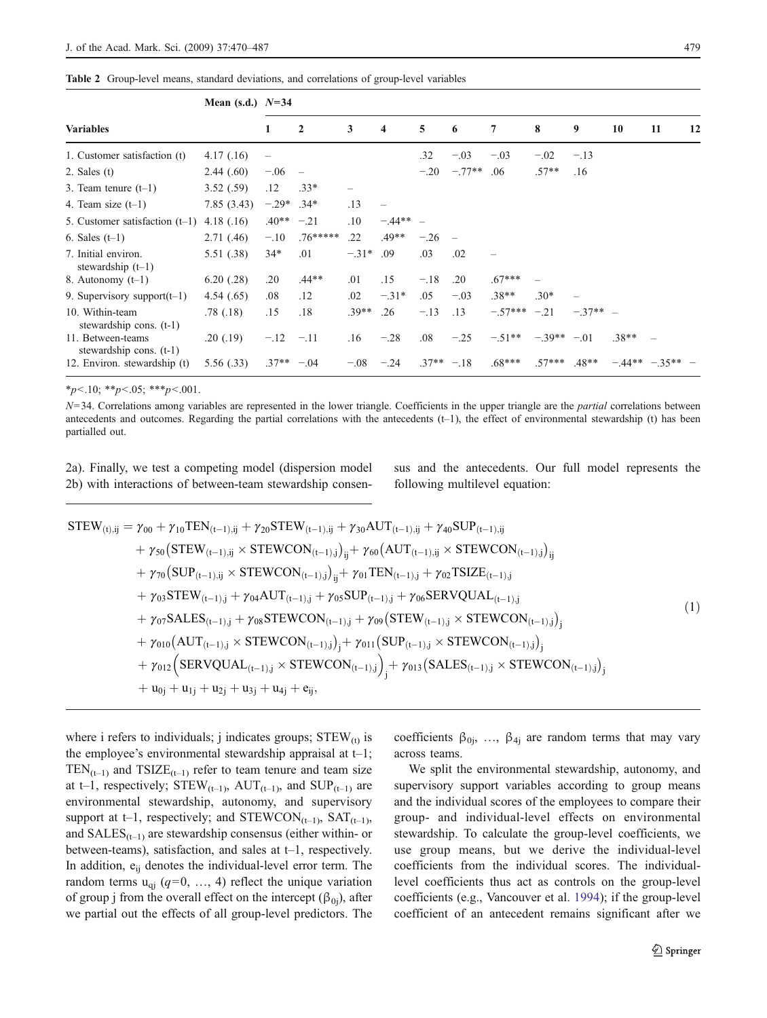<span id="page-9-0"></span>

|  |  | Table 2 Group-level means, standard deviations, and correlations of group-level variables |  |  |  |  |
|--|--|-------------------------------------------------------------------------------------------|--|--|--|--|
|--|--|-------------------------------------------------------------------------------------------|--|--|--|--|

|                                                | Mean (s.d.) $N=34$ |              |                          |                          |            |               |          |                           |                   |            |                    |    |    |
|------------------------------------------------|--------------------|--------------|--------------------------|--------------------------|------------|---------------|----------|---------------------------|-------------------|------------|--------------------|----|----|
| <b>Variables</b>                               |                    | 1            | $\mathbf{2}$             | 3                        | 4          | 5             | 6        | 7                         | 8                 | 9          | 10                 | 11 | 12 |
| 1. Customer satisfaction (t)                   | 4.17(0.16)         |              |                          |                          |            | .32           | $-.03$   | $-.03$                    | $-.02$            | $-.13$     |                    |    |    |
| $2.$ Sales $(t)$                               | 2.44(.60)          | $-.06$       | $\overline{\phantom{m}}$ |                          |            | $-.20$        | $-.77**$ | .06                       | $.57**$           | .16        |                    |    |    |
| 3. Team tenure $(t-1)$                         | 3.52(.59)          | .12          | $.33*$                   | $\overline{\phantom{0}}$ |            |               |          |                           |                   |            |                    |    |    |
| 4. Team size $(t-1)$                           | 7.85(3.43)         | $-.29*$      | $.34*$                   | .13                      |            |               |          |                           |                   |            |                    |    |    |
| 5. Customer satisfaction $(t-1)$               | 4.18(0.16)         | $.40**$      | $-.21$                   | .10                      | $-.44** -$ |               |          |                           |                   |            |                    |    |    |
| 6. Sales $(t-1)$                               | 2.71(0.46)         | $-.10$       | $.76*****$               | .22                      | $.49**$    | $-.26$        |          |                           |                   |            |                    |    |    |
| 7. Initial environ.<br>stewardship $(t-1)$     | 5.51(.38)          | $34*$        | .01                      | $-.31*$                  | .09        | .03           | .02      |                           |                   |            |                    |    |    |
| 8. Autonomy $(t-1)$                            | 6.20(0.28)         | .20          | $.44**$                  | .01                      | .15        | $-.18$        | .20      | $.67***$                  |                   |            |                    |    |    |
| 9. Supervisory support $(t-1)$                 | 4.54(0.65)         | .08          | .12                      | .02                      | $-.31*$    | .05           | $-.03$   | $.38**$                   | $.30*$            |            |                    |    |    |
| 10. Within-team<br>stewardship cons. $(t-1)$   | .78(.18)           | .15          | .18                      | $.39**$                  | .26        | $-.13$        | .13      | $-.57***-.21$             |                   | $-.37**$ – |                    |    |    |
| 11. Between-teams<br>stewardship cons. $(t-1)$ | .20(.19)           | $-.12 - .11$ |                          | .16                      | $-.28$     | .08           | $-.25$   | $-.51***$ $-.39**$ $-.01$ |                   |            | $.38**$            |    |    |
| 12. Environ. stewardship (t)                   | 5.56(.33)          | $.37** -.04$ |                          | $-.08$                   | $-.24$     | $.37** - .18$ |          | $.68***$                  | $.57***$ $.48***$ |            | $-44***$ $-35**$ - |    |    |

 $*_{p<.10;}$  \*\*p $<.05;$  \*\*\*p $<.001$ .

N=34. Correlations among variables are represented in the lower triangle. Coefficients in the upper triangle are the partial correlations between antecedents and outcomes. Regarding the partial correlations with the antecedents (t–1), the effect of environmental stewardship (t) has been partialled out.

2a). Finally, we test a competing model (dispersion model 2b) with interactions of between-team stewardship consensus and the antecedents. Our full model represents the following multilevel equation:

$$
STEW_{(t),ij} = \gamma_{00} + \gamma_{10}TEN_{(t-1),ij} + \gamma_{20}STEW_{(t-1),ij} + \gamma_{30}AUT_{(t-1),ij} + \gamma_{40}SUP_{(t-1),ij} + \gamma_{50}(STEW_{(t-1),ij} \times STEWCON_{(t-1),j})_{ij} + \gamma_{60}(AUT_{(t-1),ij} \times STEWCON_{(t-1),j})_{ij} + \gamma_{70}(SUP_{(t-1),ij} \times STEWCON_{(t-1),j})_{ij} + \gamma_{01}TEN_{(t-1),j} + \gamma_{02}TSIZE_{(t-1),j} + \gamma_{03}STEW_{(t-1),j} + \gamma_{04}AUT_{(t-1),j} + \gamma_{05}SUP_{(t-1),j} + \gamma_{06}SERVQUAL_{(t-1),j} + \gamma_{07}SALES_{(t-1),j} + \gamma_{08}STEWCON_{(t-1),j} + \gamma_{09}(STEW_{(t-1),j} \times STEWCON_{(t-1),j})_{j} + \gamma_{010}(AUT_{(t-1),j} \times STEWCON_{(t-1),j})_{j} + \gamma_{011}(SUP_{(t-1),j} \times STEWCON_{(t-1),j})_{j} + \gamma_{012}(SERVQUAL_{(t-1),j} \times STEWCON_{(t-1),j})_{j} + \gamma_{013}(SALES_{(t-1),j} \times STEWCON_{(t-1),j})_{j} + u_{0j} + u_{1j} + u_{2j} + u_{3j} + u_{4j} + e_{ij},
$$
(11)

where i refers to individuals; j indicates groups;  $STEW_{(t)}$  is the employee's environmental stewardship appraisal at t–1;  $TEN_{(t-1)}$  and  $TSIZE_{(t-1)}$  refer to team tenure and team size at t–1, respectively;  $STEW_{(t-1)}$ ,  $AUT_{(t-1)}$ , and  $SUP_{(t-1)}$  are environmental stewardship, autonomy, and supervisory support at t–1, respectively; and STEWCON<sub>(t–1)</sub>, SAT<sub>(t–1)</sub>, and  $SALES_{(t-1)}$  are stewardship consensus (either within- or between-teams), satisfaction, and sales at t–1, respectively. In addition, e<sub>ij</sub> denotes the individual-level error term. The random terms  $u_{qi}$  ( $q=0, ..., 4$ ) reflect the unique variation of group j from the overall effect on the intercept ( $\beta_{0i}$ ), after we partial out the effects of all group-level predictors. The coefficients  $\beta_{0j}$ , ...,  $\beta_{4j}$  are random terms that may vary across teams.

We split the environmental stewardship, autonomy, and supervisory support variables according to group means and the individual scores of the employees to compare their group- and individual-level effects on environmental stewardship. To calculate the group-level coefficients, we use group means, but we derive the individual-level coefficients from the individual scores. The individuallevel coefficients thus act as controls on the group-level coefficients (e.g., Vancouver et al. [1994\)](#page-17-0); if the group-level coefficient of an antecedent remains significant after we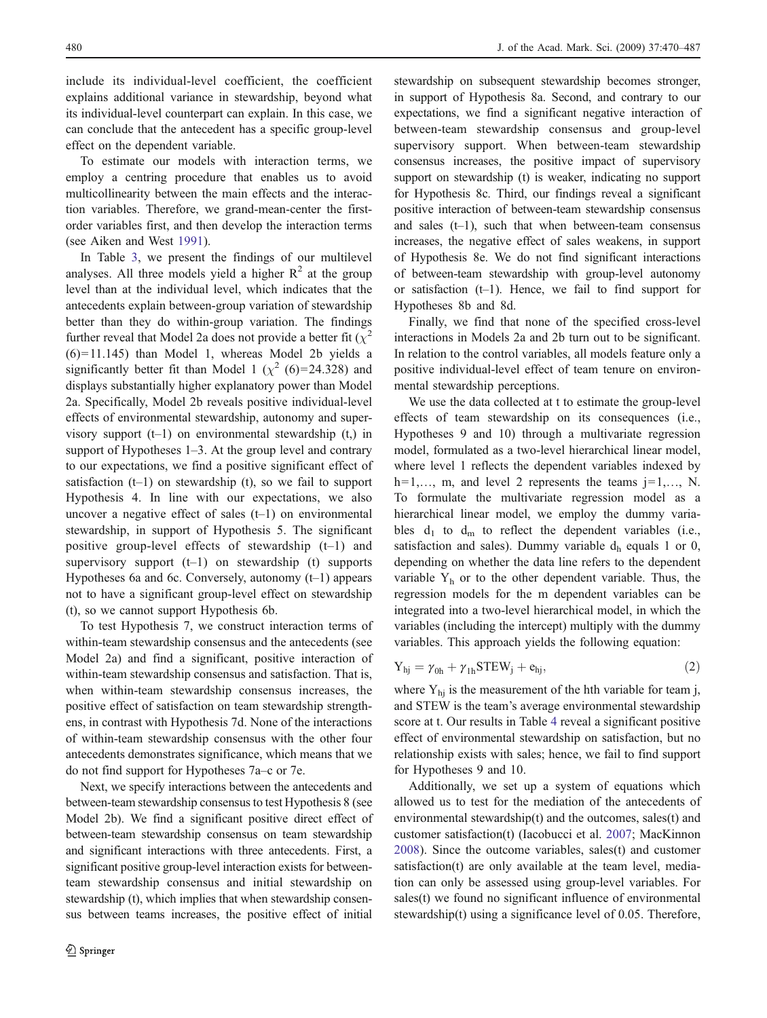include its individual-level coefficient, the coefficient explains additional variance in stewardship, beyond what its individual-level counterpart can explain. In this case, we can conclude that the antecedent has a specific group-level effect on the dependent variable.

To estimate our models with interaction terms, we employ a centring procedure that enables us to avoid multicollinearity between the main effects and the interaction variables. Therefore, we grand-mean-center the firstorder variables first, and then develop the interaction terms (see Aiken and West [1991](#page-15-0)).

In Table [3](#page-11-0), we present the findings of our multilevel analyses. All three models yield a higher  $R^2$  at the group level than at the individual level, which indicates that the antecedents explain between-group variation of stewardship better than they do within-group variation. The findings further reveal that Model 2a does not provide a better fit  $(\chi^2)$ (6)=11.145) than Model 1, whereas Model 2b yields a significantly better fit than Model 1 ( $\chi^2$  (6)=24.328) and displays substantially higher explanatory power than Model 2a. Specifically, Model 2b reveals positive individual-level effects of environmental stewardship, autonomy and supervisory support  $(t-1)$  on environmental stewardship  $(t)$  in support of Hypotheses 1–3. At the group level and contrary to our expectations, we find a positive significant effect of satisfaction (t–1) on stewardship (t), so we fail to support Hypothesis 4. In line with our expectations, we also uncover a negative effect of sales  $(t-1)$  on environmental stewardship, in support of Hypothesis 5. The significant positive group-level effects of stewardship (t–1) and supervisory support  $(t-1)$  on stewardship (t) supports Hypotheses 6a and 6c. Conversely, autonomy (t–1) appears not to have a significant group-level effect on stewardship (t), so we cannot support Hypothesis 6b.

To test Hypothesis 7, we construct interaction terms of within-team stewardship consensus and the antecedents (see Model 2a) and find a significant, positive interaction of within-team stewardship consensus and satisfaction. That is, when within-team stewardship consensus increases, the positive effect of satisfaction on team stewardship strengthens, in contrast with Hypothesis 7d. None of the interactions of within-team stewardship consensus with the other four antecedents demonstrates significance, which means that we do not find support for Hypotheses 7a–c or 7e.

Next, we specify interactions between the antecedents and between-team stewardship consensus to test Hypothesis 8 (see Model 2b). We find a significant positive direct effect of between-team stewardship consensus on team stewardship and significant interactions with three antecedents. First, a significant positive group-level interaction exists for betweenteam stewardship consensus and initial stewardship on stewardship (t), which implies that when stewardship consensus between teams increases, the positive effect of initial

stewardship on subsequent stewardship becomes stronger, in support of Hypothesis 8a. Second, and contrary to our expectations, we find a significant negative interaction of between-team stewardship consensus and group-level supervisory support. When between-team stewardship consensus increases, the positive impact of supervisory support on stewardship (t) is weaker, indicating no support for Hypothesis 8c. Third, our findings reveal a significant positive interaction of between-team stewardship consensus and sales  $(t-1)$ , such that when between-team consensus increases, the negative effect of sales weakens, in support of Hypothesis 8e. We do not find significant interactions of between-team stewardship with group-level autonomy or satisfaction (t–1). Hence, we fail to find support for Hypotheses 8b and 8d.

Finally, we find that none of the specified cross-level interactions in Models 2a and 2b turn out to be significant. In relation to the control variables, all models feature only a positive individual-level effect of team tenure on environmental stewardship perceptions.

We use the data collected at t to estimate the group-level effects of team stewardship on its consequences (i.e., Hypotheses 9 and 10) through a multivariate regression model, formulated as a two-level hierarchical linear model, where level 1 reflects the dependent variables indexed by  $h=1,\ldots, m$ , and level 2 represents the teams  $j=1,\ldots, N$ . To formulate the multivariate regression model as a hierarchical linear model, we employ the dummy variables  $d_1$  to  $d_m$  to reflect the dependent variables (i.e., satisfaction and sales). Dummy variable  $d<sub>h</sub>$  equals 1 or 0, depending on whether the data line refers to the dependent variable  $Y<sub>h</sub>$  or to the other dependent variable. Thus, the regression models for the m dependent variables can be integrated into a two-level hierarchical model, in which the variables (including the intercept) multiply with the dummy variables. This approach yields the following equation:

$$
Y_{hj} = \gamma_{0h} + \gamma_{1h} STEW_j + e_{hj}, \qquad (2)
$$

where  $Y_{hi}$  is the measurement of the hth variable for team j, and STEW is the team's average environmental stewardship score at t. Our results in Table [4](#page-12-0) reveal a significant positive effect of environmental stewardship on satisfaction, but no relationship exists with sales; hence, we fail to find support for Hypotheses 9 and 10.

Additionally, we set up a system of equations which allowed us to test for the mediation of the antecedents of environmental stewardship(t) and the outcomes, sales(t) and customer satisfaction(t) (Iacobucci et al. [2007;](#page-16-0) MacKinnon [2008](#page-17-0)). Since the outcome variables, sales(t) and customer satisfaction(t) are only available at the team level, mediation can only be assessed using group-level variables. For sales(t) we found no significant influence of environmental stewardship(t) using a significance level of 0.05. Therefore,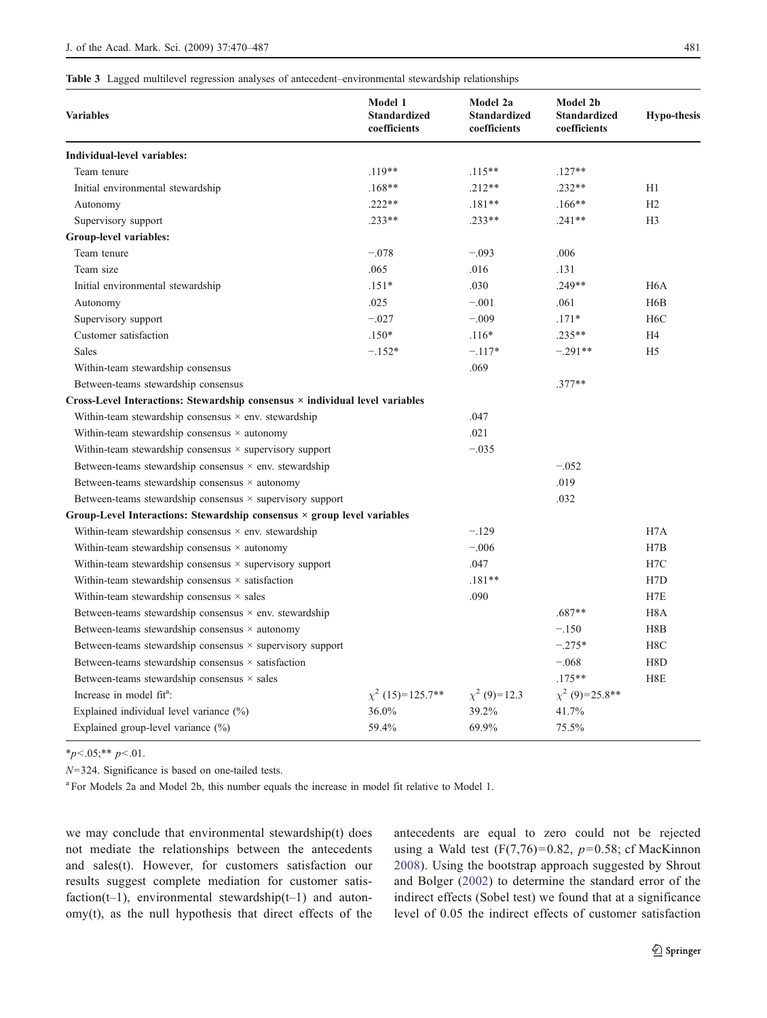#### <span id="page-11-0"></span>Table 3 Lagged multilevel regression analyses of antecedent–environmental stewardship relationships

| <b>Variables</b>                                                             | Model 1<br><b>Standardized</b><br>coefficients | Model 2a<br>Standardized<br>coefficients | <b>Model 2b</b><br><b>Standardized</b><br>coefficients | <b>Hypo-thesis</b> |
|------------------------------------------------------------------------------|------------------------------------------------|------------------------------------------|--------------------------------------------------------|--------------------|
| Individual-level variables:                                                  |                                                |                                          |                                                        |                    |
| Team tenure                                                                  | $.119**$                                       | $.115***$                                | $.127**$                                               |                    |
| Initial environmental stewardship                                            | $.168**$                                       | $.212**$                                 | $.232**$                                               | H1                 |
| Autonomy                                                                     | $.222**$                                       | $.181**$                                 | $.166***$                                              | H2                 |
| Supervisory support                                                          | $.233**$                                       | $.233**$                                 | $.241**$                                               | H <sub>3</sub>     |
| Group-level variables:                                                       |                                                |                                          |                                                        |                    |
| Team tenure                                                                  | $-.078$                                        | $-.093$                                  | .006                                                   |                    |
| Team size                                                                    | .065                                           | .016                                     | .131                                                   |                    |
| Initial environmental stewardship                                            | $.151*$                                        | .030                                     | $.249**$                                               | H <sub>6</sub> A   |
| Autonomy                                                                     | .025                                           | $-.001$                                  | .061                                                   | H <sub>6</sub> B   |
| Supervisory support                                                          | $-.027$                                        | $-.009$                                  | $.171*$                                                | H <sub>6</sub> C   |
| Customer satisfaction                                                        | $.150*$                                        | $.116*$                                  | $.235***$                                              | H4                 |
| <b>Sales</b>                                                                 | $-.152*$                                       | $-.117*$                                 | $-.291**$                                              | H <sub>5</sub>     |
| Within-team stewardship consensus                                            |                                                | .069                                     |                                                        |                    |
| Between-teams stewardship consensus                                          |                                                |                                          | $.377**$                                               |                    |
| Cross-Level Interactions: Stewardship consensus × individual level variables |                                                |                                          |                                                        |                    |
| Within-team stewardship consensus $\times$ env. stewardship                  |                                                | .047                                     |                                                        |                    |
| Within-team stewardship consensus $\times$ autonomy                          |                                                | .021                                     |                                                        |                    |
| Within-team stewardship consensus $\times$ supervisory support               |                                                | $-.035$                                  |                                                        |                    |
| Between-teams stewardship consensus $\times$ env. stewardship                |                                                |                                          | $-.052$                                                |                    |
| Between-teams stewardship consensus $\times$ autonomy                        |                                                |                                          | .019                                                   |                    |
| Between-teams stewardship consensus $\times$ supervisory support             |                                                |                                          | .032                                                   |                    |
| Group-Level Interactions: Stewardship consensus × group level variables      |                                                |                                          |                                                        |                    |
| Within-team stewardship consensus $\times$ env. stewardship                  |                                                | $-.129$                                  |                                                        | H <sub>7</sub> A   |
| Within-team stewardship consensus $\times$ autonomy                          |                                                | $-.006$                                  |                                                        | H7B                |
| Within-team stewardship consensus $\times$ supervisory support               |                                                | .047                                     |                                                        | H7C                |
| Within-team stewardship consensus $\times$ satisfaction                      |                                                | $.181**$                                 |                                                        | H7D                |
| Within-team stewardship consensus $\times$ sales                             |                                                | .090                                     |                                                        | H7E                |
| Between-teams stewardship consensus $\times$ env. stewardship                |                                                |                                          | $.687**$                                               | H <sub>8</sub> A   |
| Between-teams stewardship consensus $\times$ autonomy                        |                                                |                                          | $-.150$                                                | H8B                |
| Between-teams stewardship consensus $\times$ supervisory support             |                                                |                                          | $-.275*$                                               | H8C                |
| Between-teams stewardship consensus $\times$ satisfaction                    |                                                |                                          | $-.068$                                                | H8D                |
| Between-teams stewardship consensus $\times$ sales                           |                                                |                                          | $.175***$                                              | H8E                |
| Increase in model fit <sup>a</sup> :                                         | $\chi^2$ (15)=125.7** $\chi^2$ (9)=12.3        |                                          | $\chi^2$ (9)=25.8**                                    |                    |
| Explained individual level variance $(\%)$                                   | 36.0%                                          | 39.2%                                    | 41.7%                                                  |                    |
| Explained group-level variance (%)                                           | 59.4%                                          | 69.9%                                    | 75.5%                                                  |                    |

 $*_{p<.05;}$ \*\* p<.01.

N=324. Significance is based on one-tailed tests.

<sup>a</sup> For Models 2a and Model 2b, this number equals the increase in model fit relative to Model 1.

we may conclude that environmental stewardship(t) does not mediate the relationships between the antecedents and sales(t). However, for customers satisfaction our results suggest complete mediation for customer satisfaction(t-1), environmental stewardship(t-1) and autonomy(t), as the null hypothesis that direct effects of the antecedents are equal to zero could not be rejected using a Wald test  $(F(7, 76)=0.82, p=0.58; cf MacKinnon)$ [2008](#page-17-0)). Using the bootstrap approach suggested by Shrout and Bolger [\(2002\)](#page-17-0) to determine the standard error of the indirect effects (Sobel test) we found that at a significance level of 0.05 the indirect effects of customer satisfaction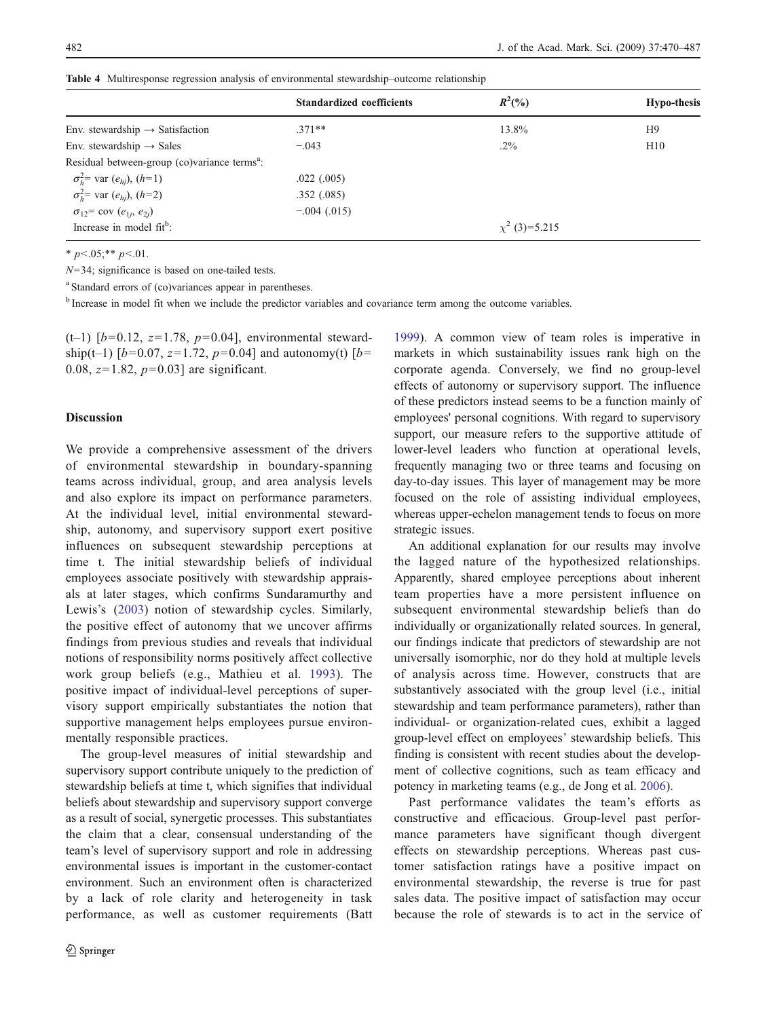|                                                          | <b>Standardized coefficients</b> | $R^2(\%)$          | <b>Hypo-thesis</b> |
|----------------------------------------------------------|----------------------------------|--------------------|--------------------|
|                                                          |                                  |                    |                    |
| Env. stewardship $\rightarrow$ Satisfaction              | $.371**$                         | 13.8%              | H9                 |
| Env. stewardship $\rightarrow$ Sales                     | $-.043$                          | $.2\%$             | H10                |
| Residual between-group (co)variance terms <sup>a</sup> : |                                  |                    |                    |
| $\sigma_h^2$ var $(e_{hi})$ , $(h=1)$                    | $.022$ $(.005)$                  |                    |                    |
| $\sigma_h^2$ var $(e_{hi})$ , $(h=2)$                    | .352(.085)                       |                    |                    |
| $\sigma_{12}$ = cov $(e_{1j}, e_{2j})$                   | $-.004(.015)$                    |                    |                    |
| Increase in model fit <sup>b</sup> :                     |                                  | $\chi^2$ (3)=5.215 |                    |

<span id="page-12-0"></span>Table 4 Multiresponse regression analysis of environmental stewardship–outcome relationship

\*  $p < .05;$ \*\*  $p < .01$ .

 $N=34$ ; significance is based on one-tailed tests.

<sup>a</sup> Standard errors of (co)variances appear in parentheses.

<sup>b</sup> Increase in model fit when we include the predictor variables and covariance term among the outcome variables.

(t-1)  $[b=0.12, z=1.78, p=0.04]$ , environmental stewardship(t–1)  $[b=0.07, z=1.72, p=0.04]$  and autonomy(t)  $[b=$ 0.08,  $z=1.82$ ,  $p=0.03$ ] are significant.

## Discussion

We provide a comprehensive assessment of the drivers of environmental stewardship in boundary-spanning teams across individual, group, and area analysis levels and also explore its impact on performance parameters. At the individual level, initial environmental stewardship, autonomy, and supervisory support exert positive influences on subsequent stewardship perceptions at time t. The initial stewardship beliefs of individual employees associate positively with stewardship appraisals at later stages, which confirms Sundaramurthy and Lewis's ([2003](#page-17-0)) notion of stewardship cycles. Similarly, the positive effect of autonomy that we uncover affirms findings from previous studies and reveals that individual notions of responsibility norms positively affect collective work group beliefs (e.g., Mathieu et al. [1993](#page-17-0)). The positive impact of individual-level perceptions of supervisory support empirically substantiates the notion that supportive management helps employees pursue environmentally responsible practices.

The group-level measures of initial stewardship and supervisory support contribute uniquely to the prediction of stewardship beliefs at time t, which signifies that individual beliefs about stewardship and supervisory support converge as a result of social, synergetic processes. This substantiates the claim that a clear, consensual understanding of the team's level of supervisory support and role in addressing environmental issues is important in the customer-contact environment. Such an environment often is characterized by a lack of role clarity and heterogeneity in task performance, as well as customer requirements (Batt

[1999](#page-16-0)). A common view of team roles is imperative in markets in which sustainability issues rank high on the corporate agenda. Conversely, we find no group-level effects of autonomy or supervisory support. The influence of these predictors instead seems to be a function mainly of employees' personal cognitions. With regard to supervisory support, our measure refers to the supportive attitude of lower-level leaders who function at operational levels, frequently managing two or three teams and focusing on day-to-day issues. This layer of management may be more focused on the role of assisting individual employees, whereas upper-echelon management tends to focus on more strategic issues.

An additional explanation for our results may involve the lagged nature of the hypothesized relationships. Apparently, shared employee perceptions about inherent team properties have a more persistent influence on subsequent environmental stewardship beliefs than do individually or organizationally related sources. In general, our findings indicate that predictors of stewardship are not universally isomorphic, nor do they hold at multiple levels of analysis across time. However, constructs that are substantively associated with the group level (i.e., initial stewardship and team performance parameters), rather than individual- or organization-related cues, exhibit a lagged group-level effect on employees' stewardship beliefs. This finding is consistent with recent studies about the development of collective cognitions, such as team efficacy and potency in marketing teams (e.g., de Jong et al. [2006](#page-16-0)).

Past performance validates the team's efforts as constructive and efficacious. Group-level past performance parameters have significant though divergent effects on stewardship perceptions. Whereas past customer satisfaction ratings have a positive impact on environmental stewardship, the reverse is true for past sales data. The positive impact of satisfaction may occur because the role of stewards is to act in the service of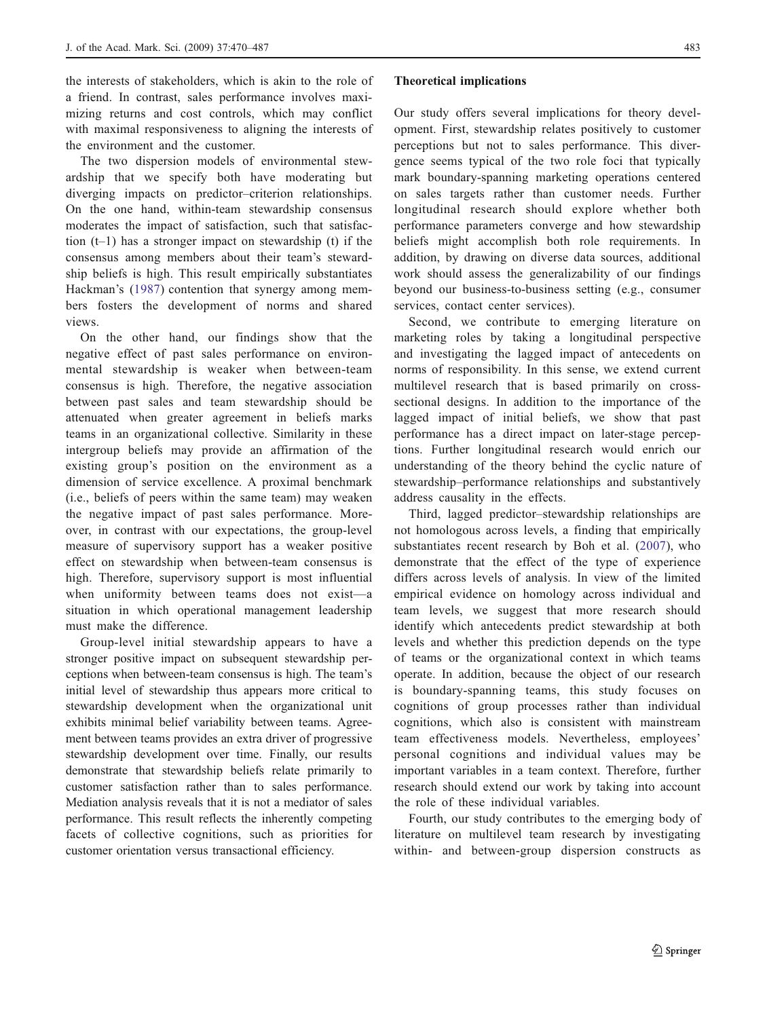the interests of stakeholders, which is akin to the role of a friend. In contrast, sales performance involves maximizing returns and cost controls, which may conflict with maximal responsiveness to aligning the interests of the environment and the customer.

The two dispersion models of environmental stewardship that we specify both have moderating but diverging impacts on predictor–criterion relationships. On the one hand, within-team stewardship consensus moderates the impact of satisfaction, such that satisfaction  $(t-1)$  has a stronger impact on stewardship (t) if the consensus among members about their team's stewardship beliefs is high. This result empirically substantiates Hackman's [\(1987](#page-16-0)) contention that synergy among members fosters the development of norms and shared views.

On the other hand, our findings show that the negative effect of past sales performance on environmental stewardship is weaker when between-team consensus is high. Therefore, the negative association between past sales and team stewardship should be attenuated when greater agreement in beliefs marks teams in an organizational collective. Similarity in these intergroup beliefs may provide an affirmation of the existing group's position on the environment as a dimension of service excellence. A proximal benchmark (i.e., beliefs of peers within the same team) may weaken the negative impact of past sales performance. Moreover, in contrast with our expectations, the group-level measure of supervisory support has a weaker positive effect on stewardship when between-team consensus is high. Therefore, supervisory support is most influential when uniformity between teams does not exist—a situation in which operational management leadership must make the difference.

Group-level initial stewardship appears to have a stronger positive impact on subsequent stewardship perceptions when between-team consensus is high. The team's initial level of stewardship thus appears more critical to stewardship development when the organizational unit exhibits minimal belief variability between teams. Agreement between teams provides an extra driver of progressive stewardship development over time. Finally, our results demonstrate that stewardship beliefs relate primarily to customer satisfaction rather than to sales performance. Mediation analysis reveals that it is not a mediator of sales performance. This result reflects the inherently competing facets of collective cognitions, such as priorities for customer orientation versus transactional efficiency.

#### Theoretical implications

Our study offers several implications for theory development. First, stewardship relates positively to customer perceptions but not to sales performance. This divergence seems typical of the two role foci that typically mark boundary-spanning marketing operations centered on sales targets rather than customer needs. Further longitudinal research should explore whether both performance parameters converge and how stewardship beliefs might accomplish both role requirements. In addition, by drawing on diverse data sources, additional work should assess the generalizability of our findings beyond our business-to-business setting (e.g., consumer services, contact center services).

Second, we contribute to emerging literature on marketing roles by taking a longitudinal perspective and investigating the lagged impact of antecedents on norms of responsibility. In this sense, we extend current multilevel research that is based primarily on crosssectional designs. In addition to the importance of the lagged impact of initial beliefs, we show that past performance has a direct impact on later-stage perceptions. Further longitudinal research would enrich our understanding of the theory behind the cyclic nature of stewardship–performance relationships and substantively address causality in the effects.

Third, lagged predictor–stewardship relationships are not homologous across levels, a finding that empirically substantiates recent research by Boh et al. ([2007](#page-16-0)), who demonstrate that the effect of the type of experience differs across levels of analysis. In view of the limited empirical evidence on homology across individual and team levels, we suggest that more research should identify which antecedents predict stewardship at both levels and whether this prediction depends on the type of teams or the organizational context in which teams operate. In addition, because the object of our research is boundary-spanning teams, this study focuses on cognitions of group processes rather than individual cognitions, which also is consistent with mainstream team effectiveness models. Nevertheless, employees' personal cognitions and individual values may be important variables in a team context. Therefore, further research should extend our work by taking into account the role of these individual variables.

Fourth, our study contributes to the emerging body of literature on multilevel team research by investigating within- and between-group dispersion constructs as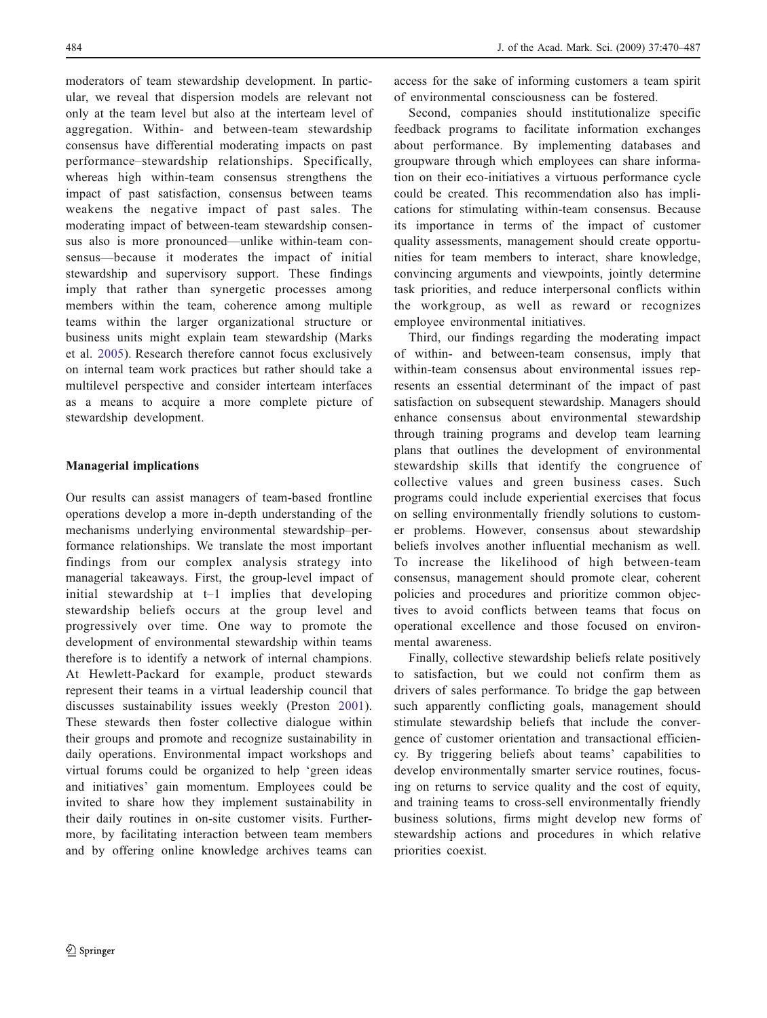moderators of team stewardship development. In particular, we reveal that dispersion models are relevant not only at the team level but also at the interteam level of aggregation. Within- and between-team stewardship consensus have differential moderating impacts on past performance–stewardship relationships. Specifically, whereas high within-team consensus strengthens the impact of past satisfaction, consensus between teams weakens the negative impact of past sales. The moderating impact of between-team stewardship consensus also is more pronounced—unlike within-team consensus—because it moderates the impact of initial stewardship and supervisory support. These findings imply that rather than synergetic processes among members within the team, coherence among multiple teams within the larger organizational structure or business units might explain team stewardship (Marks et al. [2005](#page-17-0)). Research therefore cannot focus exclusively on internal team work practices but rather should take a multilevel perspective and consider interteam interfaces as a means to acquire a more complete picture of stewardship development.

# Managerial implications

Our results can assist managers of team-based frontline operations develop a more in-depth understanding of the mechanisms underlying environmental stewardship–performance relationships. We translate the most important findings from our complex analysis strategy into managerial takeaways. First, the group-level impact of initial stewardship at t–1 implies that developing stewardship beliefs occurs at the group level and progressively over time. One way to promote the development of environmental stewardship within teams therefore is to identify a network of internal champions. At Hewlett-Packard for example, product stewards represent their teams in a virtual leadership council that discusses sustainability issues weekly (Preston [2001](#page-17-0)). These stewards then foster collective dialogue within their groups and promote and recognize sustainability in daily operations. Environmental impact workshops and virtual forums could be organized to help 'green ideas and initiatives' gain momentum. Employees could be invited to share how they implement sustainability in their daily routines in on-site customer visits. Furthermore, by facilitating interaction between team members and by offering online knowledge archives teams can

access for the sake of informing customers a team spirit of environmental consciousness can be fostered.

Second, companies should institutionalize specific feedback programs to facilitate information exchanges about performance. By implementing databases and groupware through which employees can share information on their eco-initiatives a virtuous performance cycle could be created. This recommendation also has implications for stimulating within-team consensus. Because its importance in terms of the impact of customer quality assessments, management should create opportunities for team members to interact, share knowledge, convincing arguments and viewpoints, jointly determine task priorities, and reduce interpersonal conflicts within the workgroup, as well as reward or recognizes employee environmental initiatives.

Third, our findings regarding the moderating impact of within- and between-team consensus, imply that within-team consensus about environmental issues represents an essential determinant of the impact of past satisfaction on subsequent stewardship. Managers should enhance consensus about environmental stewardship through training programs and develop team learning plans that outlines the development of environmental stewardship skills that identify the congruence of collective values and green business cases. Such programs could include experiential exercises that focus on selling environmentally friendly solutions to customer problems. However, consensus about stewardship beliefs involves another influential mechanism as well. To increase the likelihood of high between-team consensus, management should promote clear, coherent policies and procedures and prioritize common objectives to avoid conflicts between teams that focus on operational excellence and those focused on environmental awareness.

Finally, collective stewardship beliefs relate positively to satisfaction, but we could not confirm them as drivers of sales performance. To bridge the gap between such apparently conflicting goals, management should stimulate stewardship beliefs that include the convergence of customer orientation and transactional efficiency. By triggering beliefs about teams' capabilities to develop environmentally smarter service routines, focusing on returns to service quality and the cost of equity, and training teams to cross-sell environmentally friendly business solutions, firms might develop new forms of stewardship actions and procedures in which relative priorities coexist.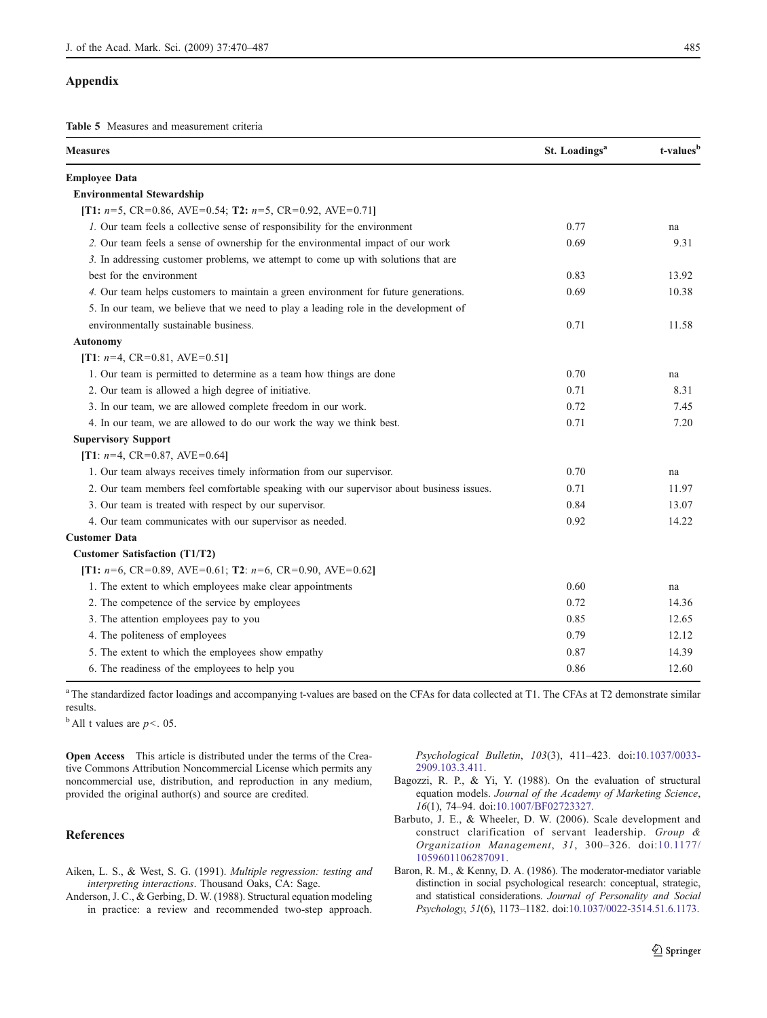#### <span id="page-15-0"></span>Appendix

Table 5 Measures and measurement criteria

| <b>Measures</b>                                                                          | St. Loadings <sup>a</sup> | t-values <sup>b</sup> |
|------------------------------------------------------------------------------------------|---------------------------|-----------------------|
| <b>Employee Data</b>                                                                     |                           |                       |
| <b>Environmental Stewardship</b>                                                         |                           |                       |
| [T1: $n=5$ , CR=0.86, AVE=0.54; T2: $n=5$ , CR=0.92, AVE=0.71]                           |                           |                       |
| 1. Our team feels a collective sense of responsibility for the environment               | 0.77                      | na                    |
| 2. Our team feels a sense of ownership for the environmental impact of our work          | 0.69                      | 9.31                  |
| 3. In addressing customer problems, we attempt to come up with solutions that are        |                           |                       |
| best for the environment                                                                 | 0.83                      | 13.92                 |
| 4. Our team helps customers to maintain a green environment for future generations.      | 0.69                      | 10.38                 |
| 5. In our team, we believe that we need to play a leading role in the development of     |                           |                       |
| environmentally sustainable business.                                                    | 0.71                      | 11.58                 |
| <b>Autonomy</b>                                                                          |                           |                       |
| [T1: $n=4$ , CR=0.81, AVE=0.51]                                                          |                           |                       |
| 1. Our team is permitted to determine as a team how things are done                      | 0.70                      | na                    |
| 2. Our team is allowed a high degree of initiative.                                      | 0.71                      | 8.31                  |
| 3. In our team, we are allowed complete freedom in our work.                             | 0.72                      | 7.45                  |
| 4. In our team, we are allowed to do our work the way we think best.                     | 0.71                      | 7.20                  |
| <b>Supervisory Support</b>                                                               |                           |                       |
| [T1: $n=4$ , CR=0.87, AVE=0.64]                                                          |                           |                       |
| 1. Our team always receives timely information from our supervisor.                      | 0.70                      | na                    |
| 2. Our team members feel comfortable speaking with our supervisor about business issues. | 0.71                      | 11.97                 |
| 3. Our team is treated with respect by our supervisor.                                   | 0.84                      | 13.07                 |
| 4. Our team communicates with our supervisor as needed.                                  | 0.92                      | 14.22                 |
| <b>Customer Data</b>                                                                     |                           |                       |
| <b>Customer Satisfaction (T1/T2)</b>                                                     |                           |                       |
| [T1: $n=6$ , CR=0.89, AVE=0.61; T2: $n=6$ , CR=0.90, AVE=0.62]                           |                           |                       |
| 1. The extent to which employees make clear appointments                                 | 0.60                      | na                    |
| 2. The competence of the service by employees                                            | 0.72                      | 14.36                 |
| 3. The attention employees pay to you                                                    | 0.85                      | 12.65                 |
| 4. The politeness of employees                                                           | 0.79                      | 12.12                 |
| 5. The extent to which the employees show empathy                                        | 0.87                      | 14.39                 |
| 6. The readiness of the employees to help you                                            | 0.86                      | 12.60                 |

<sup>a</sup> The standardized factor loadings and accompanying t-values are based on the CFAs for data collected at T1. The CFAs at T2 demonstrate similar results.

 $<sup>b</sup>$  All t values are  $p<$ . 05.</sup>

Open Access This article is distributed under the terms of the Creative Commons Attribution Noncommercial License which permits any noncommercial use, distribution, and reproduction in any medium, provided the original author(s) and source are credited.

## **References**

- Aiken, L. S., & West, S. G. (1991). Multiple regression: testing and interpreting interactions. Thousand Oaks, CA: Sage.
- Anderson, J. C., & Gerbing, D. W. (1988). Structural equation modeling in practice: a review and recommended two-step approach.

Psychological Bulletin, 103(3), 411–423. doi:[10.1037/0033-](http://dx.doi.org/10.1037/0033-2909.103.3.411) [2909.103.3.411.](http://dx.doi.org/10.1037/0033-2909.103.3.411)

- Bagozzi, R. P., & Yi, Y. (1988). On the evaluation of structural equation models. Journal of the Academy of Marketing Science, 16(1), 74–94. doi[:10.1007/BF02723327](http://dx.doi.org/10.1007/BF02723327).
- Barbuto, J. E., & Wheeler, D. W. (2006). Scale development and construct clarification of servant leadership. Group & Organization Management, 31, 300–326. doi:[10.1177/](http://dx.doi.org/10.1177/1059601106287091) [1059601106287091.](http://dx.doi.org/10.1177/1059601106287091)
- Baron, R. M., & Kenny, D. A. (1986). The moderator-mediator variable distinction in social psychological research: conceptual, strategic, and statistical considerations. Journal of Personality and Social Psychology, 51(6), 1173–1182. doi:[10.1037/0022-3514.51.6.1173](http://dx.doi.org/10.1037/0022-3514.51.6.1173).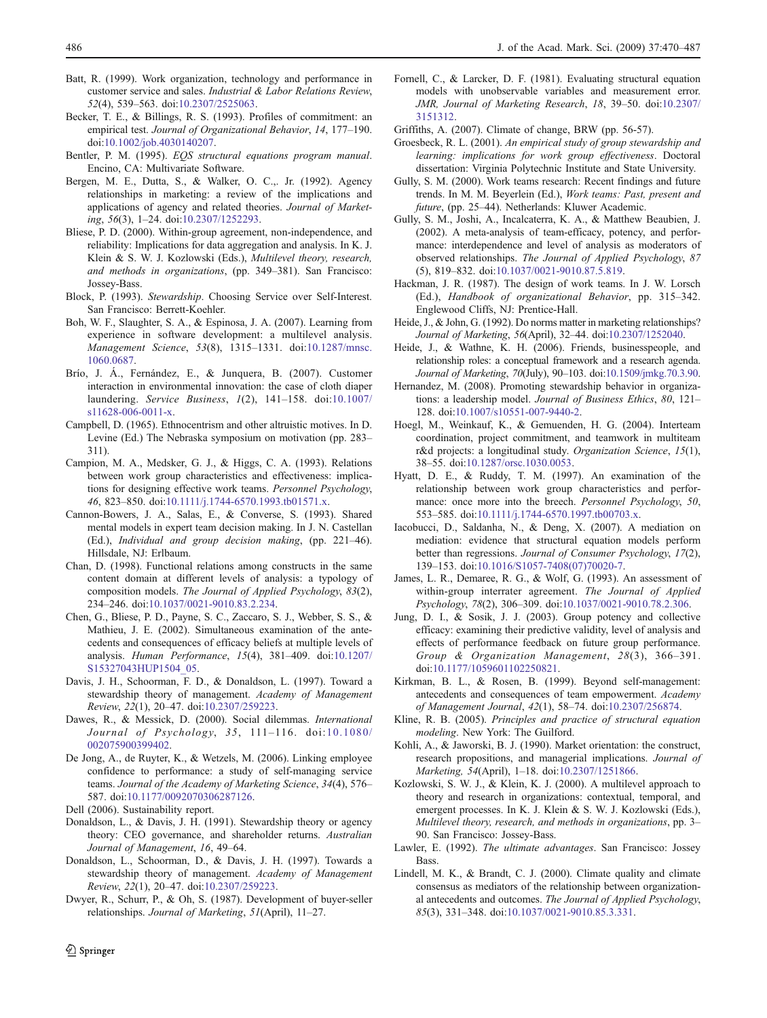- <span id="page-16-0"></span>Batt, R. (1999). Work organization, technology and performance in customer service and sales. Industrial & Labor Relations Review, 52(4), 539–563. doi:[10.2307/2525063](http://dx.doi.org/10.2307/2525063).
- Becker, T. E., & Billings, R. S. (1993). Profiles of commitment: an empirical test. Journal of Organizational Behavior, 14, 177–190. doi[:10.1002/job.4030140207](http://dx.doi.org/10.1002/job.4030140207).
- Bentler, P. M. (1995). EQS structural equations program manual. Encino, CA: Multivariate Software.
- Bergen, M. E., Dutta, S., & Walker, O. C.,. Jr. (1992). Agency relationships in marketing: a review of the implications and applications of agency and related theories. Journal of Marketing, 56(3), 1–24. doi:[10.2307/1252293](http://dx.doi.org/10.2307/1252293).
- Bliese, P. D. (2000). Within-group agreement, non-independence, and reliability: Implications for data aggregation and analysis. In K. J. Klein & S. W. J. Kozlowski (Eds.), Multilevel theory, research, and methods in organizations, (pp. 349–381). San Francisco: Jossey-Bass.
- Block, P. (1993). Stewardship. Choosing Service over Self-Interest. San Francisco: Berrett-Koehler.
- Boh, W. F., Slaughter, S. A., & Espinosa, J. A. (2007). Learning from experience in software development: a multilevel analysis. Management Science, 53(8), 1315–1331. doi[:10.1287/mnsc.](http://dx.doi.org/10.1287/mnsc.1060.0687) [1060.0687.](http://dx.doi.org/10.1287/mnsc.1060.0687)
- Brío, J. Á., Fernández, E., & Junquera, B. (2007). Customer interaction in environmental innovation: the case of cloth diaper laundering. Service Business, 1(2), 141–158. doi:[10.1007/](http://dx.doi.org/10.1007/s11628-006-0011-x) [s11628-006-0011-x.](http://dx.doi.org/10.1007/s11628-006-0011-x)
- Campbell, D. (1965). Ethnocentrism and other altruistic motives. In D. Levine (Ed.) The Nebraska symposium on motivation (pp. 283– 311).
- Campion, M. A., Medsker, G. J., & Higgs, C. A. (1993). Relations between work group characteristics and effectiveness: implications for designing effective work teams. Personnel Psychology, 46, 823–850. doi:[10.1111/j.1744-6570.1993.tb01571.x](http://dx.doi.org/10.1111/j.1744-6570.1993.tb01571.x).
- Cannon-Bowers, J. A., Salas, E., & Converse, S. (1993). Shared mental models in expert team decision making. In J. N. Castellan (Ed.), Individual and group decision making, (pp. 221–46). Hillsdale, NJ: Erlbaum.
- Chan, D. (1998). Functional relations among constructs in the same content domain at different levels of analysis: a typology of composition models. The Journal of Applied Psychology, 83(2), 234–246. doi:[10.1037/0021-9010.83.2.234.](http://dx.doi.org/10.1037/0021-9010.83.2.234)
- Chen, G., Bliese, P. D., Payne, S. C., Zaccaro, S. J., Webber, S. S., & Mathieu, J. E. (2002). Simultaneous examination of the antecedents and consequences of efficacy beliefs at multiple levels of analysis. Human Performance, 15(4), 381–409. doi[:10.1207/](http://dx.doi.org/10.1207/S15327043HUP1504_05) [S15327043HUP1504\\_05](http://dx.doi.org/10.1207/S15327043HUP1504_05).
- Davis, J. H., Schoorman, F. D., & Donaldson, L. (1997). Toward a stewardship theory of management. Academy of Management Review, 22(1), 20–47. doi:[10.2307/259223.](http://dx.doi.org/10.2307/259223)
- Dawes, R., & Messick, D. (2000). Social dilemmas. International Journal of Psychology, 35, 111–116. doi:[10.1080/](http://dx.doi.org/10.1080/002075900399402) [002075900399402](http://dx.doi.org/10.1080/002075900399402).
- De Jong, A., de Ruyter, K., & Wetzels, M. (2006). Linking employee confidence to performance: a study of self-managing service teams. Journal of the Academy of Marketing Science, 34(4), 576– 587. doi:[10.1177/0092070306287126.](http://dx.doi.org/10.1177/0092070306287126)
- Dell (2006). Sustainability report.
- Donaldson, L., & Davis, J. H. (1991). Stewardship theory or agency theory: CEO governance, and shareholder returns. Australian Journal of Management, 16, 49–64.
- Donaldson, L., Schoorman, D., & Davis, J. H. (1997). Towards a stewardship theory of management. Academy of Management Review, 22(1), 20–47. doi:[10.2307/259223.](http://dx.doi.org/10.2307/259223)
- Dwyer, R., Schurr, P., & Oh, S. (1987). Development of buyer-seller relationships. Journal of Marketing, 51(April), 11–27.
- Fornell, C., & Larcker, D. F. (1981). Evaluating structural equation models with unobservable variables and measurement error. JMR, Journal of Marketing Research, 18, 39–50. doi[:10.2307/](http://dx.doi.org/10.2307/3151312) [3151312.](http://dx.doi.org/10.2307/3151312)
- Griffiths, A. (2007). Climate of change, BRW (pp. 56-57).
- Groesbeck, R. L. (2001). An empirical study of group stewardship and learning: implications for work group effectiveness. Doctoral dissertation: Virginia Polytechnic Institute and State University.
- Gully, S. M. (2000). Work teams research: Recent findings and future trends. In M. M. Beyerlein (Ed.), Work teams: Past, present and future, (pp. 25–44). Netherlands: Kluwer Academic.
- Gully, S. M., Joshi, A., Incalcaterra, K. A., & Matthew Beaubien, J. (2002). A meta-analysis of team-efficacy, potency, and performance: interdependence and level of analysis as moderators of observed relationships. The Journal of Applied Psychology, 87 (5), 819–832. doi[:10.1037/0021-9010.87.5.819.](http://dx.doi.org/10.1037/0021-9010.87.5.819)
- Hackman, J. R. (1987). The design of work teams. In J. W. Lorsch (Ed.), Handbook of organizational Behavior, pp. 315–342. Englewood Cliffs, NJ: Prentice-Hall.
- Heide, J., & John, G. (1992). Do norms matter in marketing relationships? Journal of Marketing, 56(April), 32–44. doi:[10.2307/1252040](http://dx.doi.org/10.2307/1252040).
- Heide, J., & Wathne, K. H. (2006). Friends, businesspeople, and relationship roles: a conceptual framework and a research agenda. Journal of Marketing, 70(July), 90–103. doi[:10.1509/jmkg.70.3.90](http://dx.doi.org/10.1509/jmkg.70.3.90).
- Hernandez, M. (2008). Promoting stewardship behavior in organizations: a leadership model. Journal of Business Ethics, 80, 121– 128. doi:[10.1007/s10551-007-9440-2](http://dx.doi.org/10.1007/s10551-007-9440-2).
- Hoegl, M., Weinkauf, K., & Gemuenden, H. G. (2004). Interteam coordination, project commitment, and teamwork in multiteam r&d projects: a longitudinal study. Organization Science, 15(1), 38–55. doi[:10.1287/orsc.1030.0053](http://dx.doi.org/10.1287/orsc.1030.0053).
- Hyatt, D. E., & Ruddy, T. M. (1997). An examination of the relationship between work group characteristics and performance: once more into the breech. Personnel Psychology, 50, 553–585. doi:[10.1111/j.1744-6570.1997.tb00703.x.](http://dx.doi.org/10.1111/j.1744-6570.1997.tb00703.x)
- Iacobucci, D., Saldanha, N., & Deng, X. (2007). A mediation on mediation: evidence that structural equation models perform better than regressions. Journal of Consumer Psychology, 17(2), 139–153. doi:[10.1016/S1057-7408\(07\)70020-7.](http://dx.doi.org/10.1016/S1057-7408(07)70020-7)
- James, L. R., Demaree, R. G., & Wolf, G. (1993). An assessment of within-group interrater agreement. The Journal of Applied Psychology, 78(2), 306–309. doi:[10.1037/0021-9010.78.2.306](http://dx.doi.org/10.1037/0021-9010.78.2.306).
- Jung, D. I., & Sosik, J. J. (2003). Group potency and collective efficacy: examining their predictive validity, level of analysis and effects of performance feedback on future group performance. Group & Organization Management, 28(3), 366–391. doi[:10.1177/1059601102250821](http://dx.doi.org/10.1177/1059601102250821).
- Kirkman, B. L., & Rosen, B. (1999). Beyond self-management: antecedents and consequences of team empowerment. Academy of Management Journal, 42(1), 58–74. doi[:10.2307/256874.](http://dx.doi.org/10.2307/256874)
- Kline, R. B. (2005). Principles and practice of structural equation modeling. New York: The Guilford.
- Kohli, A., & Jaworski, B. J. (1990). Market orientation: the construct, research propositions, and managerial implications. Journal of Marketing, 54(April), 1–18. doi[:10.2307/1251866.](http://dx.doi.org/10.2307/1251866)
- Kozlowski, S. W. J., & Klein, K. J. (2000). A multilevel approach to theory and research in organizations: contextual, temporal, and emergent processes. In K. J. Klein & S. W. J. Kozlowski (Eds.), Multilevel theory, research, and methods in organizations, pp. 3– 90. San Francisco: Jossey-Bass.
- Lawler, E. (1992). The ultimate advantages. San Francisco: Jossey **Bass**
- Lindell, M. K., & Brandt, C. J. (2000). Climate quality and climate consensus as mediators of the relationship between organizational antecedents and outcomes. The Journal of Applied Psychology, 85(3), 331–348. doi:[10.1037/0021-9010.85.3.331.](http://dx.doi.org/10.1037/0021-9010.85.3.331)